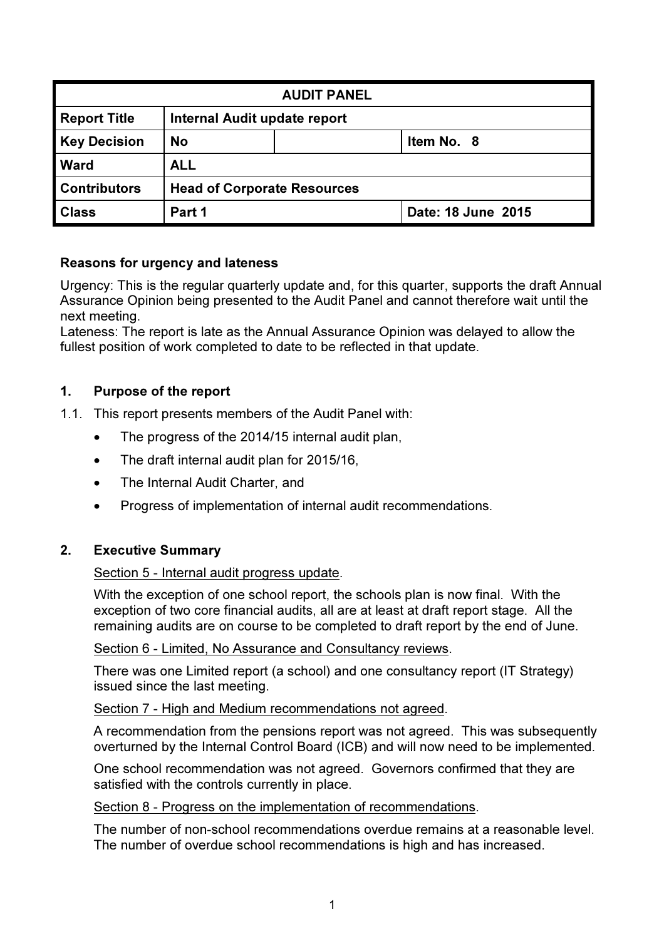| <b>AUDIT PANEL</b>  |                                    |                              |                    |  |  |
|---------------------|------------------------------------|------------------------------|--------------------|--|--|
| <b>Report Title</b> |                                    | Internal Audit update report |                    |  |  |
| <b>Key Decision</b> | <b>No</b><br>Item No. 8            |                              |                    |  |  |
| <b>Ward</b>         | <b>ALL</b>                         |                              |                    |  |  |
| <b>Contributors</b> | <b>Head of Corporate Resources</b> |                              |                    |  |  |
| <b>Class</b>        | Part 1                             |                              | Date: 18 June 2015 |  |  |

## Reasons for urgency and lateness

Urgency: This is the regular quarterly update and, for this quarter, supports the draft Annual Assurance Opinion being presented to the Audit Panel and cannot therefore wait until the next meeting.

Lateness: The report is late as the Annual Assurance Opinion was delayed to allow the fullest position of work completed to date to be reflected in that update.

## 1. Purpose of the report

1.1. This report presents members of the Audit Panel with:

- The progress of the 2014/15 internal audit plan,
- The draft internal audit plan for 2015/16,
- The Internal Audit Charter, and
- Progress of implementation of internal audit recommendations.

## 2. Executive Summary

## Section 5 - Internal audit progress update.

With the exception of one school report, the schools plan is now final. With the exception of two core financial audits, all are at least at draft report stage. All the remaining audits are on course to be completed to draft report by the end of June.

Section 6 - Limited, No Assurance and Consultancy reviews.

There was one Limited report (a school) and one consultancy report (IT Strategy) issued since the last meeting.

Section 7 - High and Medium recommendations not agreed.

A recommendation from the pensions report was not agreed. This was subsequently overturned by the Internal Control Board (ICB) and will now need to be implemented.

One school recommendation was not agreed. Governors confirmed that they are satisfied with the controls currently in place.

Section 8 - Progress on the implementation of recommendations.

The number of non-school recommendations overdue remains at a reasonable level. The number of overdue school recommendations is high and has increased.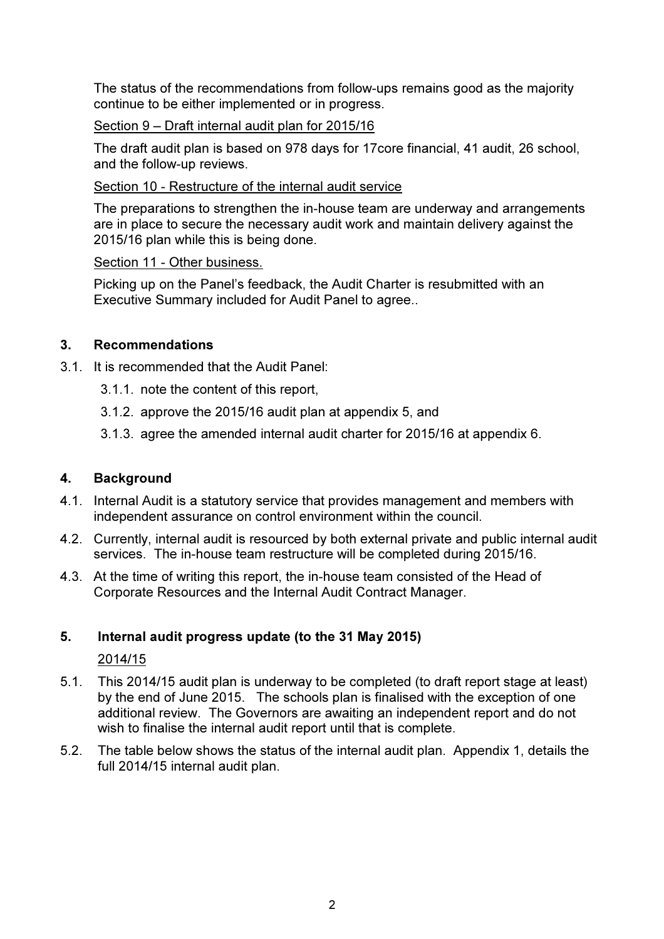The status of the recommendations from follow-ups remains good as the majority continue to be either implemented or in progress.

# Section 9 – Draft internal audit plan for 2015/16

The draft audit plan is based on 978 days for 17core financial, 41 audit, 26 school, and the follow-up reviews.

## Section 10 - Restructure of the internal audit service

The preparations to strengthen the in-house team are underway and arrangements are in place to secure the necessary audit work and maintain delivery against the 2015/16 plan while this is being done.

## Section 11 - Other business.

Picking up on the Panel's feedback, the Audit Charter is resubmitted with an Executive Summary included for Audit Panel to agree..

## 3. Recommendations

- 3.1. It is recommended that the Audit Panel:
	- 3.1.1. note the content of this report,
	- 3.1.2. approve the 2015/16 audit plan at appendix 5, and
	- 3.1.3. agree the amended internal audit charter for 2015/16 at appendix 6.

# 4. Background

- 4.1. Internal Audit is a statutory service that provides management and members with independent assurance on control environment within the council.
- 4.2. Currently, internal audit is resourced by both external private and public internal audit services. The in-house team restructure will be completed during 2015/16.
- 4.3. At the time of writing this report, the in-house team consisted of the Head of Corporate Resources and the Internal Audit Contract Manager.

# 5. Internal audit progress update (to the 31 May 2015)

## 2014/15

- 5.1. This 2014/15 audit plan is underway to be completed (to draft report stage at least) by the end of June 2015. The schools plan is finalised with the exception of one additional review. The Governors are awaiting an independent report and do not wish to finalise the internal audit report until that is complete.
- 5.2. The table below shows the status of the internal audit plan. Appendix 1, details the full 2014/15 internal audit plan.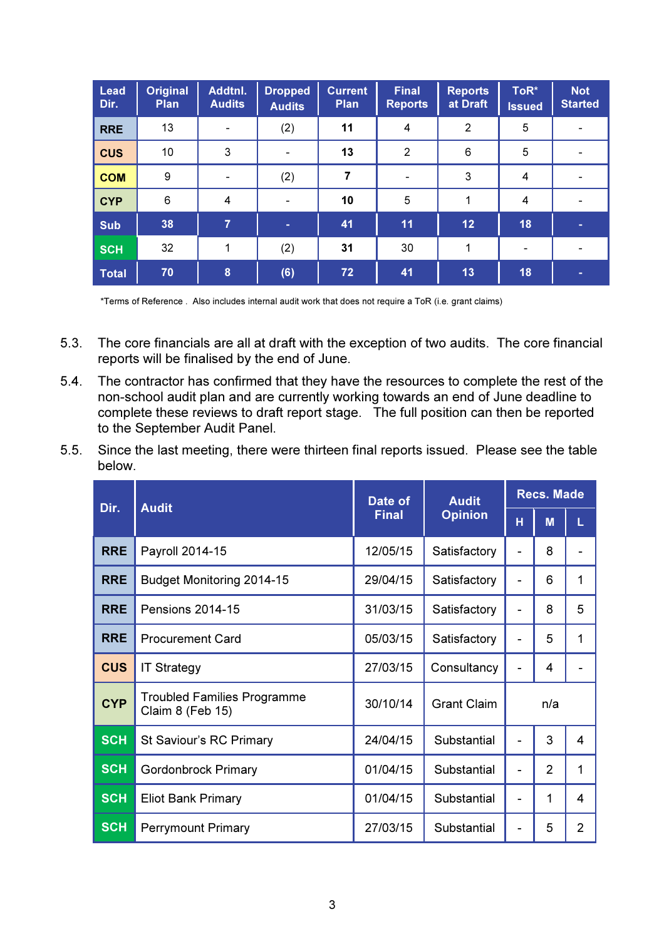| <b>Lead</b><br>Dir. | <b>Original</b><br>Plan | Addtnl.<br><b>Audits</b> | <b>Dropped</b><br><b>Audits</b> | <b>Current</b><br><b>Plan</b> | Final<br><b>Reports</b> | <b>Reports</b><br>at Draft | ToR*<br><b>Issued</b>    | <b>Not</b><br><b>Started</b> |
|---------------------|-------------------------|--------------------------|---------------------------------|-------------------------------|-------------------------|----------------------------|--------------------------|------------------------------|
| <b>RRE</b>          | 13                      |                          | (2)                             | 11                            | 4                       | $\overline{2}$             | 5                        |                              |
| <b>CUS</b>          | 10                      | 3                        |                                 | 13                            | $\overline{2}$          | 6                          | 5                        |                              |
| <b>COM</b>          | $\boldsymbol{9}$        |                          | (2)                             | $\overline{7}$                |                         | 3                          | $\overline{4}$           |                              |
| <b>CYP</b>          | 6                       | 4                        | $\overline{\phantom{a}}$        | 10                            | 5                       |                            | $\overline{4}$           |                              |
| <b>Sub</b>          | 38                      | $\overline{7}$           | ٠                               | 41                            | 11                      | 12                         | 18                       |                              |
| <b>SCH</b>          | 32                      | 1                        | (2)                             | 31                            | 30                      | 1                          | $\overline{\phantom{a}}$ |                              |
| <b>Total</b>        | 70                      | 8                        | (6)                             | 72                            | 41                      | 13                         | 18                       |                              |

\*Terms of Reference . Also includes internal audit work that does not require a ToR (i.e. grant claims)

- 5.3. The core financials are all at draft with the exception of two audits. The core financial reports will be finalised by the end of June.
- 5.4. The contractor has confirmed that they have the resources to complete the rest of the non-school audit plan and are currently working towards an end of June deadline to complete these reviews to draft report stage. The full position can then be reported to the September Audit Panel.
- 5.5. Since the last meeting, there were thirteen final reports issued. Please see the table below.

| Dir.       | <b>Audit</b>                                           | Date of      | <b>Audit</b>       | <b>Recs. Made</b> |     |                |
|------------|--------------------------------------------------------|--------------|--------------------|-------------------|-----|----------------|
|            |                                                        | <b>Final</b> | <b>Opinion</b>     | H                 | M   | L              |
| <b>RRE</b> | Payroll 2014-15                                        | 12/05/15     | Satisfactory       |                   | 8   |                |
| <b>RRE</b> | Budget Monitoring 2014-15                              | 29/04/15     | Satisfactory       |                   | 6   | 1              |
| <b>RRE</b> | <b>Pensions 2014-15</b>                                | 31/03/15     | Satisfactory       |                   | 8   | 5              |
| <b>RRE</b> | <b>Procurement Card</b>                                | 05/03/15     | Satisfactory       |                   | 5   | 1              |
| <b>CUS</b> | <b>IT Strategy</b>                                     | 27/03/15     | Consultancy        |                   | 4   |                |
| <b>CYP</b> | <b>Troubled Families Programme</b><br>Claim 8 (Feb 15) | 30/10/14     | <b>Grant Claim</b> |                   | n/a |                |
| <b>SCH</b> | St Saviour's RC Primary                                | 24/04/15     | Substantial        | $\blacksquare$    | 3   | 4              |
| <b>SCH</b> | <b>Gordonbrock Primary</b>                             | 01/04/15     | Substantial        | $\blacksquare$    | 2   | 1              |
| <b>SCH</b> | <b>Eliot Bank Primary</b>                              | 01/04/15     | Substantial        | $\overline{a}$    | 1   | 4              |
| <b>SCH</b> | <b>Perrymount Primary</b>                              | 27/03/15     | Substantial        | $\overline{a}$    | 5   | $\overline{2}$ |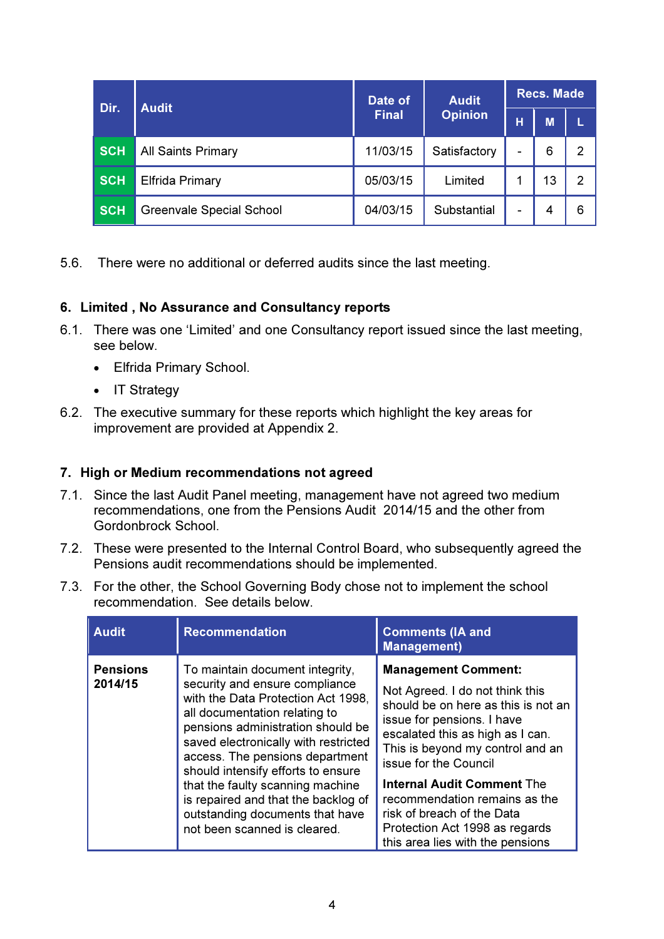| Dir.       | <b>Audit</b>                    | Date of      | <b>Audit</b>   | <b>Recs. Made</b> |    |   |  |
|------------|---------------------------------|--------------|----------------|-------------------|----|---|--|
|            |                                 | <b>Final</b> | <b>Opinion</b> | н                 | M  |   |  |
| <b>SCH</b> | All Saints Primary              | 11/03/15     | Satisfactory   | $\blacksquare$    | 6  | 2 |  |
| <b>SCH</b> | <b>Elfrida Primary</b>          | 05/03/15     | Limited        |                   | 13 | 2 |  |
| <b>SCH</b> | <b>Greenvale Special School</b> | 04/03/15     | Substantial    | $\blacksquare$    | 4  | 6 |  |

5.6. There were no additional or deferred audits since the last meeting.

# 6. Limited , No Assurance and Consultancy reports

- 6.1. There was one 'Limited' and one Consultancy report issued since the last meeting, see below.
	- Elfrida Primary School.
	- IT Strategy
- 6.2. The executive summary for these reports which highlight the key areas for improvement are provided at Appendix 2.

# 7. High or Medium recommendations not agreed

- 7.1. Since the last Audit Panel meeting, management have not agreed two medium recommendations, one from the Pensions Audit 2014/15 and the other from Gordonbrock School.
- 7.2. These were presented to the Internal Control Board, who subsequently agreed the Pensions audit recommendations should be implemented.
- 7.3. For the other, the School Governing Body chose not to implement the school recommendation. See details below.

| <b>Audit</b>               | <b>Recommendation</b>                                                                                                                                                                                                                                                                                                                                                                                                                        | <b>Comments (IA and</b><br><b>Management)</b>                                                                                                                                                                                                                                                                                                                                                                 |
|----------------------------|----------------------------------------------------------------------------------------------------------------------------------------------------------------------------------------------------------------------------------------------------------------------------------------------------------------------------------------------------------------------------------------------------------------------------------------------|---------------------------------------------------------------------------------------------------------------------------------------------------------------------------------------------------------------------------------------------------------------------------------------------------------------------------------------------------------------------------------------------------------------|
| <b>Pensions</b><br>2014/15 | To maintain document integrity,<br>security and ensure compliance<br>with the Data Protection Act 1998.<br>all documentation relating to<br>pensions administration should be<br>saved electronically with restricted<br>access. The pensions department<br>should intensify efforts to ensure<br>that the faulty scanning machine<br>is repaired and that the backlog of<br>outstanding documents that have<br>not been scanned is cleared. | <b>Management Comment:</b><br>Not Agreed. I do not think this<br>should be on here as this is not an<br>issue for pensions. I have<br>escalated this as high as I can.<br>This is beyond my control and an<br>issue for the Council<br><b>Internal Audit Comment The</b><br>recommendation remains as the<br>risk of breach of the Data<br>Protection Act 1998 as regards<br>this area lies with the pensions |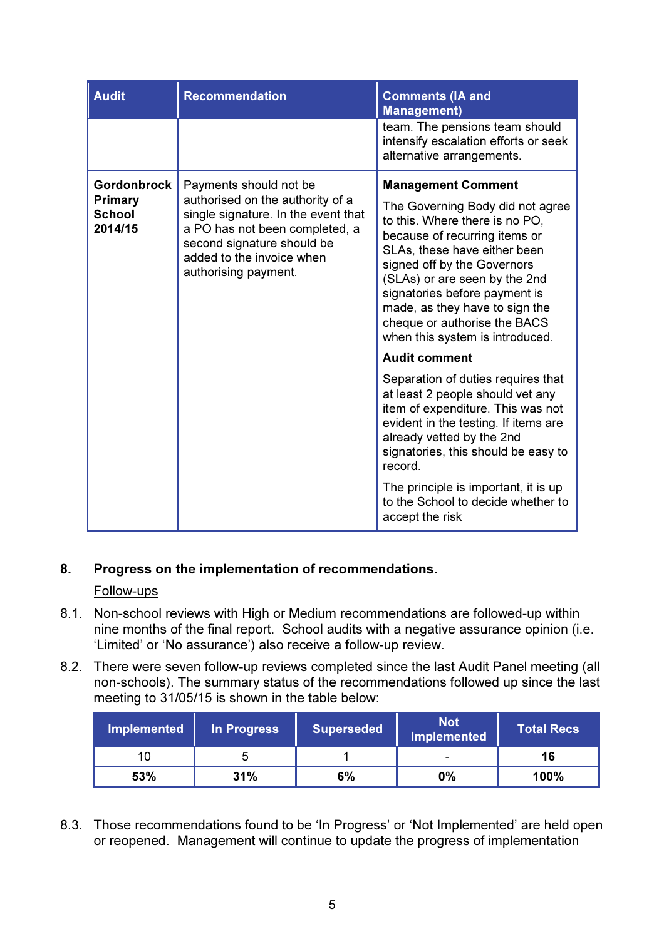| <b>Audit</b>                                                     | <b>Recommendation</b>                                                                                                                                                                                                  | <b>Comments (IA and</b><br><b>Management)</b>                                                                                                                                                                                                                                                                                                                          |
|------------------------------------------------------------------|------------------------------------------------------------------------------------------------------------------------------------------------------------------------------------------------------------------------|------------------------------------------------------------------------------------------------------------------------------------------------------------------------------------------------------------------------------------------------------------------------------------------------------------------------------------------------------------------------|
|                                                                  |                                                                                                                                                                                                                        | team. The pensions team should<br>intensify escalation efforts or seek<br>alternative arrangements.                                                                                                                                                                                                                                                                    |
| <b>Gordonbrock</b><br><b>Primary</b><br><b>School</b><br>2014/15 | Payments should not be<br>authorised on the authority of a<br>single signature. In the event that<br>a PO has not been completed, a<br>second signature should be<br>added to the invoice when<br>authorising payment. | <b>Management Comment</b><br>The Governing Body did not agree<br>to this. Where there is no PO.<br>because of recurring items or<br>SLAs, these have either been<br>signed off by the Governors<br>(SLAs) or are seen by the 2nd<br>signatories before payment is<br>made, as they have to sign the<br>cheque or authorise the BACS<br>when this system is introduced. |
|                                                                  |                                                                                                                                                                                                                        | <b>Audit comment</b><br>Separation of duties requires that<br>at least 2 people should vet any<br>item of expenditure. This was not<br>evident in the testing. If items are<br>already vetted by the 2nd<br>signatories, this should be easy to<br>record.<br>The principle is important, it is up<br>to the School to decide whether to<br>accept the risk            |

# 8. Progress on the implementation of recommendations.

## Follow-ups

- 8.1. Non-school reviews with High or Medium recommendations are followed-up within nine months of the final report. School audits with a negative assurance opinion (i.e. 'Limited' or 'No assurance') also receive a follow-up review.
- 8.2. There were seven follow-up reviews completed since the last Audit Panel meeting (all non-schools). The summary status of the recommendations followed up since the last meeting to 31/05/15 is shown in the table below:

| Implemented | In Progress | <b>Superseded</b> | <b>Not</b><br><b>Implemented</b> | <b>Total Recs</b> |
|-------------|-------------|-------------------|----------------------------------|-------------------|
| 10          |             |                   |                                  | 16                |
| 53%         | 31%         | 6%                | $0\%$                            | 100%              |

8.3. Those recommendations found to be 'In Progress' or 'Not Implemented' are held open or reopened. Management will continue to update the progress of implementation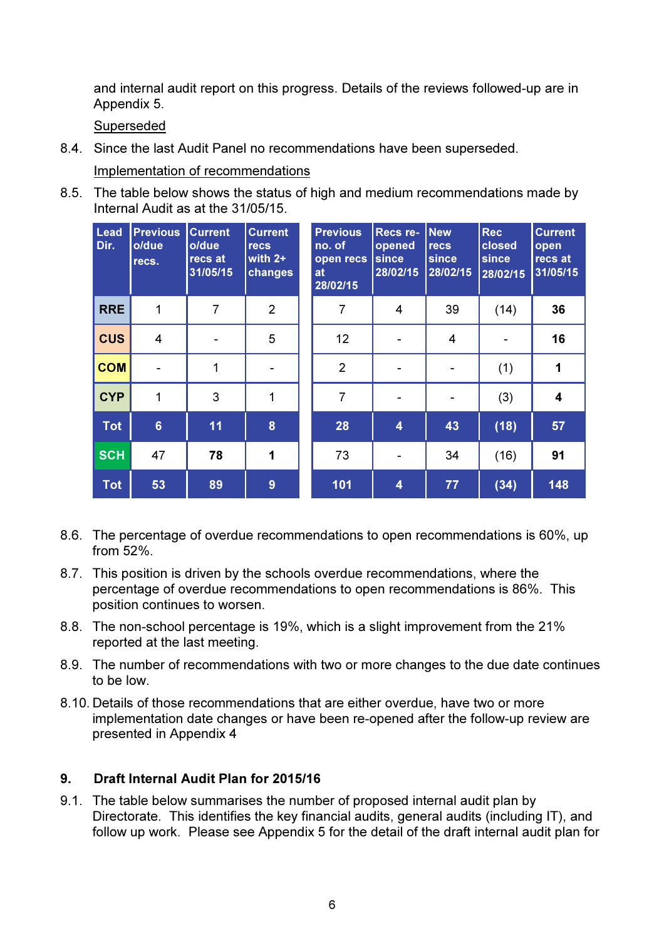and internal audit report on this progress. Details of the reviews followed-up are in Appendix 5.

Superseded

8.4. Since the last Audit Panel no recommendations have been superseded.

Implementation of recommendations

8.5. The table below shows the status of high and medium recommendations made by Internal Audit as at the 31/05/15.

| Lead<br>Dir. | <b>Previous</b><br>o/due<br>recs. | <b>Current</b><br>o/due<br>recs at<br>31/05/15 | <b>Current</b><br><b>recs</b><br>with $2+$<br>changes | <b>Previous</b><br>no. of<br>open recs<br>at<br>28/02/15 | Recs re-<br>opened<br><b>since</b><br>28/02/15 | <b>New</b><br><b>recs</b><br>since<br>28/02/15 | <b>Rec</b><br>closed<br><b>since</b><br>28/02/15 | <b>Current</b><br>open<br>recs at<br>31/05/15 |
|--------------|-----------------------------------|------------------------------------------------|-------------------------------------------------------|----------------------------------------------------------|------------------------------------------------|------------------------------------------------|--------------------------------------------------|-----------------------------------------------|
| <b>RRE</b>   | 1                                 | $\overline{7}$                                 | $\overline{2}$                                        | 7                                                        | 4                                              | 39                                             | (14)                                             | 36                                            |
| <b>CUS</b>   | $\overline{4}$                    |                                                | 5                                                     | 12                                                       |                                                | $\overline{4}$                                 |                                                  | 16                                            |
| <b>COM</b>   |                                   | 1                                              |                                                       | $\overline{2}$                                           | $\blacksquare$                                 | $\blacksquare$                                 | (1)                                              | 1                                             |
| <b>CYP</b>   | 1                                 | 3                                              | 1                                                     | $\overline{7}$                                           | $\blacksquare$                                 | $\overline{\phantom{a}}$                       | (3)                                              | $\overline{\mathbf{4}}$                       |
| <b>Tot</b>   | $6\phantom{a}$                    | 11                                             | 8                                                     | 28                                                       | 4                                              | 43                                             | (18)                                             | 57                                            |
| <b>SCH</b>   | 47                                | 78                                             | 1                                                     | 73                                                       | -                                              | 34                                             | (16)                                             | 91                                            |
| <b>Tot</b>   | 53                                | 89                                             | 9                                                     | 101                                                      | $\overline{\mathbf{4}}$                        | 77                                             | (34)                                             | 148                                           |

- 8.6. The percentage of overdue recommendations to open recommendations is 60%, up from 52%.
- 8.7. This position is driven by the schools overdue recommendations, where the percentage of overdue recommendations to open recommendations is 86%. This position continues to worsen.
- 8.8. The non-school percentage is 19%, which is a slight improvement from the 21% reported at the last meeting.
- 8.9. The number of recommendations with two or more changes to the due date continues to be low.
- 8.10. Details of those recommendations that are either overdue, have two or more implementation date changes or have been re-opened after the follow-up review are presented in Appendix 4

# 9. Draft Internal Audit Plan for 2015/16

9.1. The table below summarises the number of proposed internal audit plan by Directorate. This identifies the key financial audits, general audits (including IT), and follow up work. Please see Appendix 5 for the detail of the draft internal audit plan for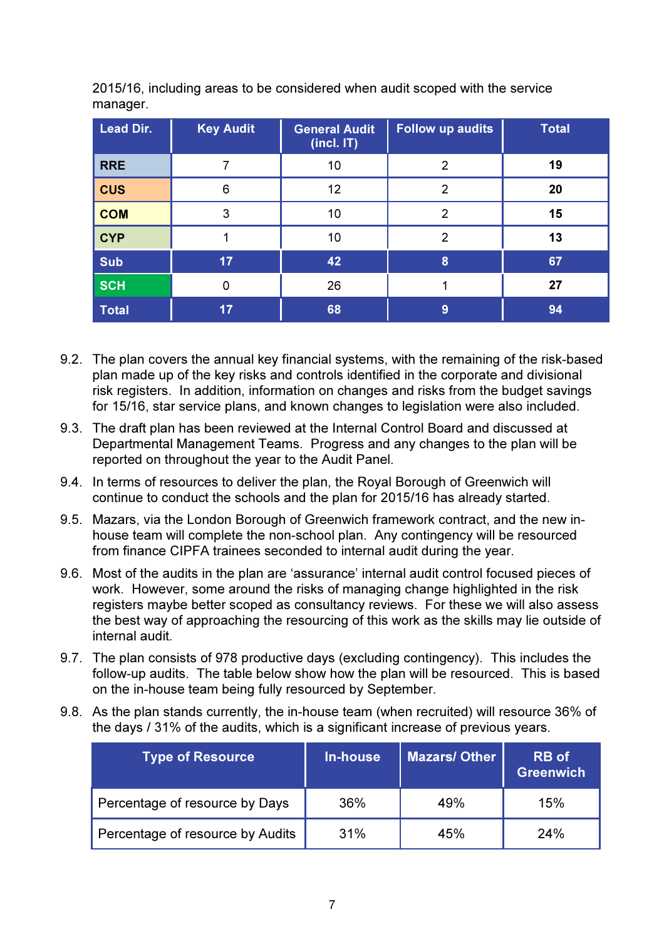| <b>Lead Dir.</b> | <b>Key Audit</b> | <b>General Audit</b><br>(incl. IT) | <b>Follow up audits</b> | <b>Total</b> |
|------------------|------------------|------------------------------------|-------------------------|--------------|
| <b>RRE</b>       |                  | 10                                 | 2                       | 19           |
| <b>CUS</b>       | 6                | 12                                 | 2                       | 20           |
| <b>COM</b>       | 3                | 10                                 | 2                       | 15           |
| <b>CYP</b>       |                  | 10                                 | 2                       | 13           |
| <b>Sub</b>       | 17               | 42                                 | 8                       | 67           |
| <b>SCH</b>       | 0                | 26                                 |                         | 27           |
| <b>Total</b>     | 17               | 68                                 | 9                       | 94           |

2015/16, including areas to be considered when audit scoped with the service manager.

- 9.2. The plan covers the annual key financial systems, with the remaining of the risk-based plan made up of the key risks and controls identified in the corporate and divisional risk registers. In addition, information on changes and risks from the budget savings for 15/16, star service plans, and known changes to legislation were also included.
- 9.3. The draft plan has been reviewed at the Internal Control Board and discussed at Departmental Management Teams. Progress and any changes to the plan will be reported on throughout the year to the Audit Panel.
- 9.4. In terms of resources to deliver the plan, the Royal Borough of Greenwich will continue to conduct the schools and the plan for 2015/16 has already started.
- 9.5. Mazars, via the London Borough of Greenwich framework contract, and the new inhouse team will complete the non-school plan. Any contingency will be resourced from finance CIPFA trainees seconded to internal audit during the year.
- 9.6. Most of the audits in the plan are 'assurance' internal audit control focused pieces of work. However, some around the risks of managing change highlighted in the risk registers maybe better scoped as consultancy reviews. For these we will also assess the best way of approaching the resourcing of this work as the skills may lie outside of internal audit.
- 9.7. The plan consists of 978 productive days (excluding contingency). This includes the follow-up audits. The table below show how the plan will be resourced. This is based on the in-house team being fully resourced by September.
- 9.8. As the plan stands currently, the in-house team (when recruited) will resource 36% of the days / 31% of the audits, which is a significant increase of previous years.

| <b>Type of Resource</b>          | In-house | <b>Mazars/Other</b> | <b>RB</b> of<br><b>Greenwich</b> |
|----------------------------------|----------|---------------------|----------------------------------|
| Percentage of resource by Days   | 36%      | 49%                 | 15%                              |
| Percentage of resource by Audits | 31%      | 45%                 | 24%                              |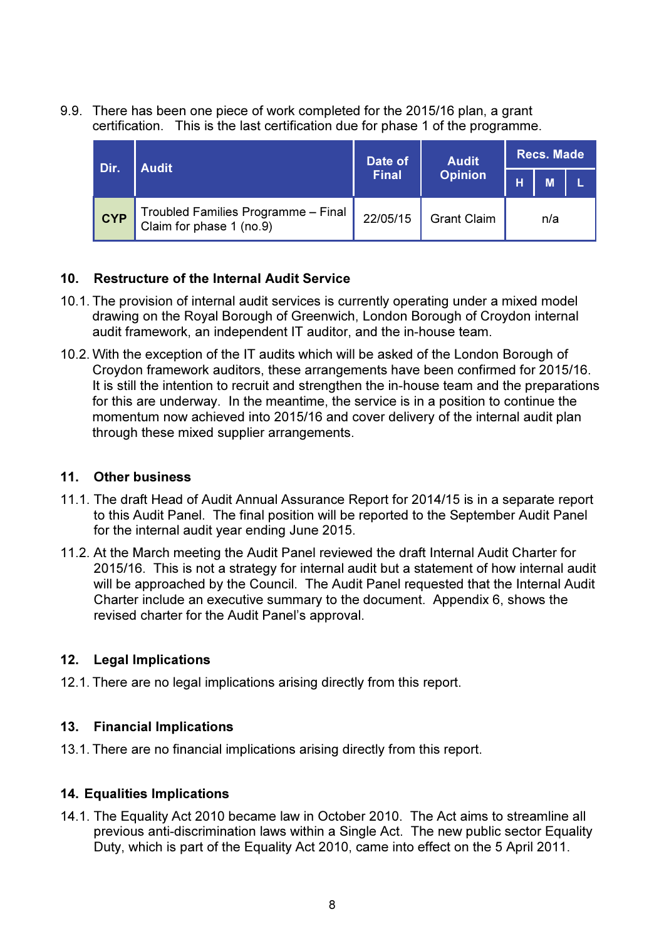9.9. There has been one piece of work completed for the 2015/16 plan, a grant certification. This is the last certification due for phase 1 of the programme.

| Dir.       | <b>Audit</b>                                                    | Date of      | <b>Audit</b>       | <b>Recs. Made</b> |   |  |  |
|------------|-----------------------------------------------------------------|--------------|--------------------|-------------------|---|--|--|
|            |                                                                 | <b>Final</b> | <b>Opinion</b>     | н                 | M |  |  |
| <b>CYP</b> | Troubled Families Programme - Final<br>Claim for phase 1 (no.9) | 22/05/15     | <b>Grant Claim</b> | n/a               |   |  |  |

# 10. Restructure of the Internal Audit Service

- 10.1. The provision of internal audit services is currently operating under a mixed model drawing on the Royal Borough of Greenwich, London Borough of Croydon internal audit framework, an independent IT auditor, and the in-house team.
- 10.2. With the exception of the IT audits which will be asked of the London Borough of Croydon framework auditors, these arrangements have been confirmed for 2015/16. It is still the intention to recruit and strengthen the in-house team and the preparations for this are underway. In the meantime, the service is in a position to continue the momentum now achieved into 2015/16 and cover delivery of the internal audit plan through these mixed supplier arrangements.

## 11. Other business

- 11.1. The draft Head of Audit Annual Assurance Report for 2014/15 is in a separate report to this Audit Panel. The final position will be reported to the September Audit Panel for the internal audit year ending June 2015.
- 11.2. At the March meeting the Audit Panel reviewed the draft Internal Audit Charter for 2015/16. This is not a strategy for internal audit but a statement of how internal audit will be approached by the Council. The Audit Panel requested that the Internal Audit Charter include an executive summary to the document. Appendix 6, shows the revised charter for the Audit Panel's approval.

# 12. Legal Implications

12.1. There are no legal implications arising directly from this report.

# 13. Financial Implications

13.1. There are no financial implications arising directly from this report.

# 14. Equalities Implications

14.1. The Equality Act 2010 became law in October 2010. The Act aims to streamline all previous anti-discrimination laws within a Single Act. The new public sector Equality Duty, which is part of the Equality Act 2010, came into effect on the 5 April 2011.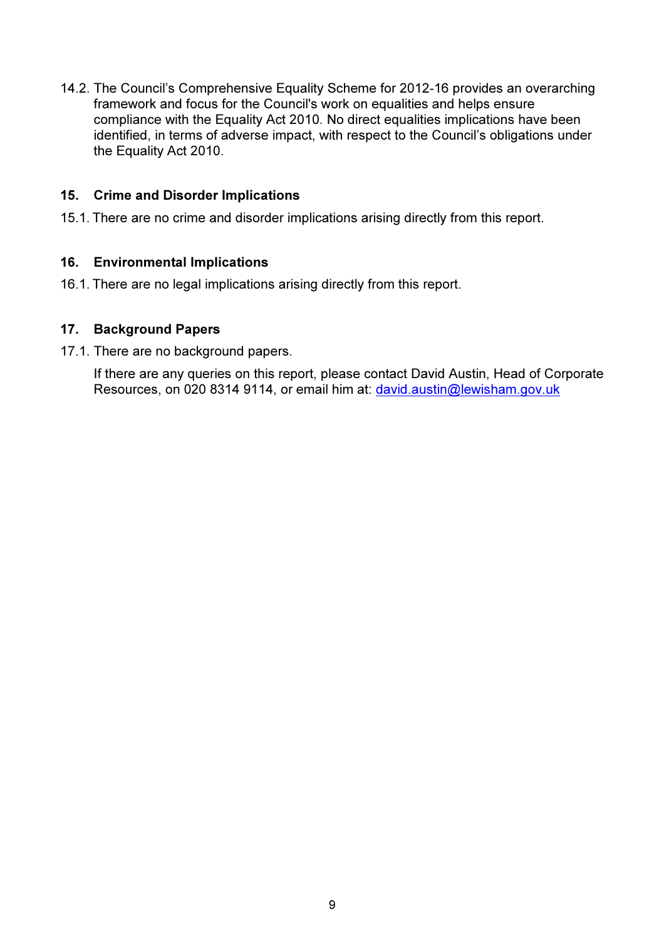14.2. The Council's Comprehensive Equality Scheme for 2012-16 provides an overarching framework and focus for the Council's work on equalities and helps ensure compliance with the Equality Act 2010. No direct equalities implications have been identified, in terms of adverse impact, with respect to the Council's obligations under the Equality Act 2010.

## 15. Crime and Disorder Implications

15.1. There are no crime and disorder implications arising directly from this report.

# 16. Environmental Implications

16.1. There are no legal implications arising directly from this report.

## 17. Background Papers

17.1. There are no background papers.

If there are any queries on this report, please contact David Austin, Head of Corporate Resources, on 020 8314 9114, or email him at: david.austin@lewisham.gov.uk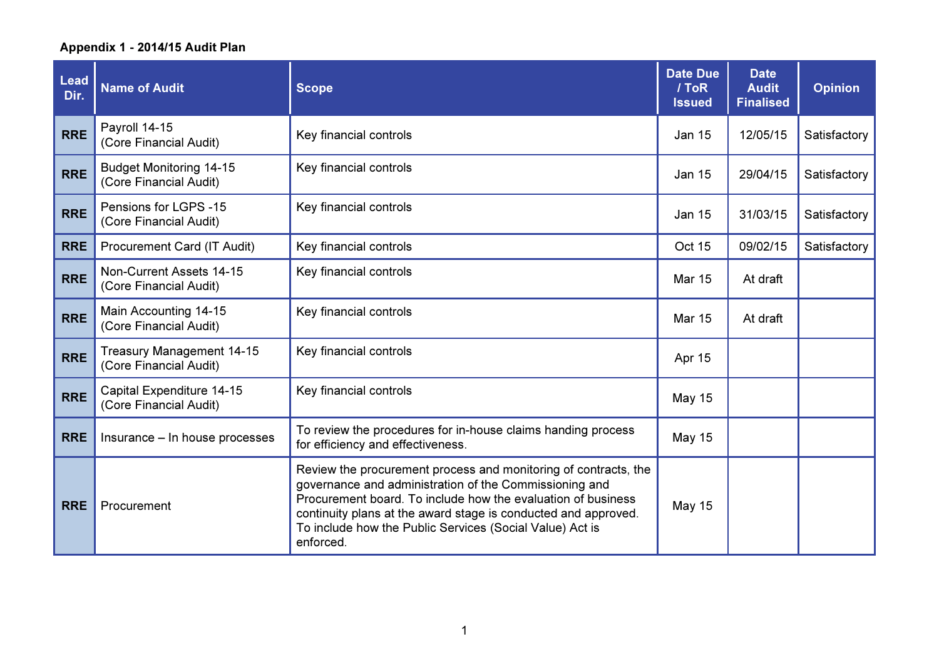| <b>Lead</b><br>Dir. | <b>Name of Audit</b>                                       | <b>Scope</b>                                                                                                                                                                                                                                                                                                                         | <b>Date Due</b><br>/ ToR<br><b>Issued</b> | <b>Date</b><br><b>Audit</b><br><b>Finalised</b> | <b>Opinion</b> |
|---------------------|------------------------------------------------------------|--------------------------------------------------------------------------------------------------------------------------------------------------------------------------------------------------------------------------------------------------------------------------------------------------------------------------------------|-------------------------------------------|-------------------------------------------------|----------------|
| <b>RRE</b>          | Payroll 14-15<br>(Core Financial Audit)                    | Key financial controls                                                                                                                                                                                                                                                                                                               | <b>Jan 15</b>                             | 12/05/15                                        | Satisfactory   |
| <b>RRE</b>          | <b>Budget Monitoring 14-15</b><br>(Core Financial Audit)   | Key financial controls                                                                                                                                                                                                                                                                                                               | <b>Jan 15</b>                             | 29/04/15                                        | Satisfactory   |
| <b>RRE</b>          | Pensions for LGPS -15<br>(Core Financial Audit)            | Key financial controls                                                                                                                                                                                                                                                                                                               | <b>Jan 15</b>                             | 31/03/15                                        | Satisfactory   |
| <b>RRE</b>          | Procurement Card (IT Audit)                                | Key financial controls                                                                                                                                                                                                                                                                                                               | <b>Oct 15</b>                             | 09/02/15                                        | Satisfactory   |
| <b>RRE</b>          | Non-Current Assets 14-15<br>(Core Financial Audit)         | Key financial controls                                                                                                                                                                                                                                                                                                               | <b>Mar 15</b>                             | At draft                                        |                |
| <b>RRE</b>          | Main Accounting 14-15<br>(Core Financial Audit)            | Key financial controls                                                                                                                                                                                                                                                                                                               | <b>Mar 15</b>                             | At draft                                        |                |
| <b>RRE</b>          | <b>Treasury Management 14-15</b><br>(Core Financial Audit) | Key financial controls                                                                                                                                                                                                                                                                                                               | Apr 15                                    |                                                 |                |
| <b>RRE</b>          | Capital Expenditure 14-15<br>(Core Financial Audit)        | Key financial controls                                                                                                                                                                                                                                                                                                               | <b>May 15</b>                             |                                                 |                |
| <b>RRE</b>          | Insurance - In house processes                             | To review the procedures for in-house claims handing process<br>for efficiency and effectiveness.                                                                                                                                                                                                                                    | <b>May 15</b>                             |                                                 |                |
| <b>RRE</b>          | Procurement                                                | Review the procurement process and monitoring of contracts, the<br>governance and administration of the Commissioning and<br>Procurement board. To include how the evaluation of business<br>continuity plans at the award stage is conducted and approved.<br>To include how the Public Services (Social Value) Act is<br>enforced. | <b>May 15</b>                             |                                                 |                |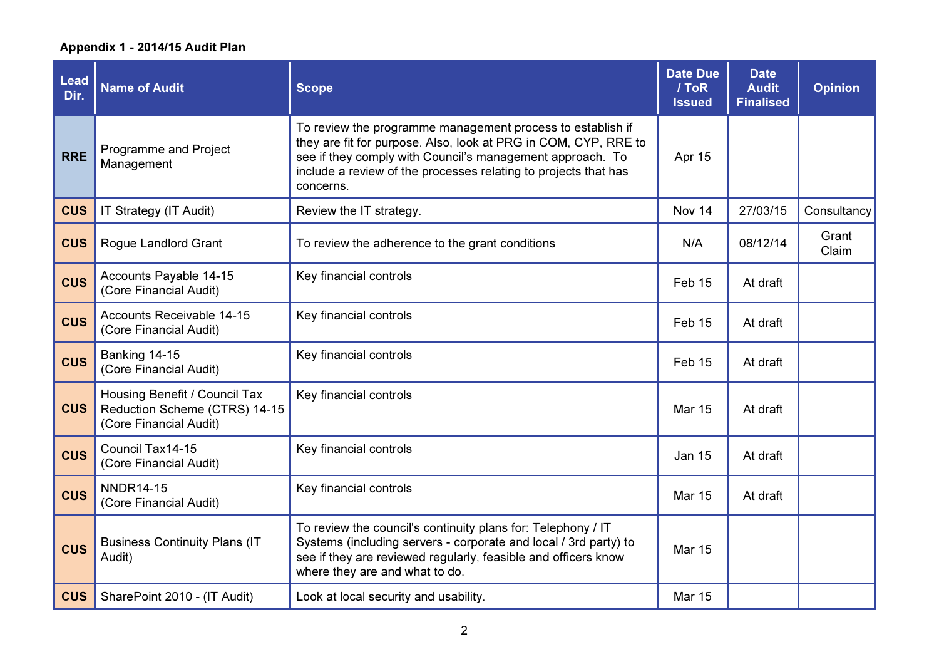| <b>Lead</b><br>Dir. | <b>Name of Audit</b>                                                                     | <b>Scope</b>                                                                                                                                                                                                                                                               | <b>Date Due</b><br>/ ToR<br><b>Issued</b> | <b>Date</b><br><b>Audit</b><br><b>Finalised</b> | <b>Opinion</b> |
|---------------------|------------------------------------------------------------------------------------------|----------------------------------------------------------------------------------------------------------------------------------------------------------------------------------------------------------------------------------------------------------------------------|-------------------------------------------|-------------------------------------------------|----------------|
| <b>RRE</b>          | Programme and Project<br>Management                                                      | To review the programme management process to establish if<br>they are fit for purpose. Also, look at PRG in COM, CYP, RRE to<br>see if they comply with Council's management approach. To<br>include a review of the processes relating to projects that has<br>concerns. | Apr 15                                    |                                                 |                |
| <b>CUS</b>          | IT Strategy (IT Audit)                                                                   | Review the IT strategy.                                                                                                                                                                                                                                                    | Nov 14                                    | 27/03/15                                        | Consultancy    |
| <b>CUS</b>          | Rogue Landlord Grant                                                                     | To review the adherence to the grant conditions                                                                                                                                                                                                                            | N/A                                       | 08/12/14                                        | Grant<br>Claim |
| <b>CUS</b>          | Accounts Payable 14-15<br>(Core Financial Audit)                                         | Key financial controls                                                                                                                                                                                                                                                     | Feb 15                                    | At draft                                        |                |
| <b>CUS</b>          | Accounts Receivable 14-15<br>(Core Financial Audit)                                      | Key financial controls                                                                                                                                                                                                                                                     | Feb 15                                    | At draft                                        |                |
| <b>CUS</b>          | Banking 14-15<br>(Core Financial Audit)                                                  | Key financial controls                                                                                                                                                                                                                                                     | Feb 15                                    | At draft                                        |                |
| <b>CUS</b>          | Housing Benefit / Council Tax<br>Reduction Scheme (CTRS) 14-15<br>(Core Financial Audit) | Key financial controls                                                                                                                                                                                                                                                     | <b>Mar 15</b>                             | At draft                                        |                |
| <b>CUS</b>          | Council Tax14-15<br>(Core Financial Audit)                                               | Key financial controls                                                                                                                                                                                                                                                     | <b>Jan 15</b>                             | At draft                                        |                |
| <b>CUS</b>          | <b>NNDR14-15</b><br>(Core Financial Audit)                                               | Key financial controls                                                                                                                                                                                                                                                     | <b>Mar 15</b>                             | At draft                                        |                |
| <b>CUS</b>          | <b>Business Continuity Plans (IT</b><br>Audit)                                           | To review the council's continuity plans for: Telephony / IT<br>Systems (including servers - corporate and local / 3rd party) to<br>see if they are reviewed regularly, feasible and officers know<br>where they are and what to do.                                       | <b>Mar 15</b>                             |                                                 |                |
| <b>CUS</b>          | SharePoint 2010 - (IT Audit)                                                             | Look at local security and usability.                                                                                                                                                                                                                                      | <b>Mar 15</b>                             |                                                 |                |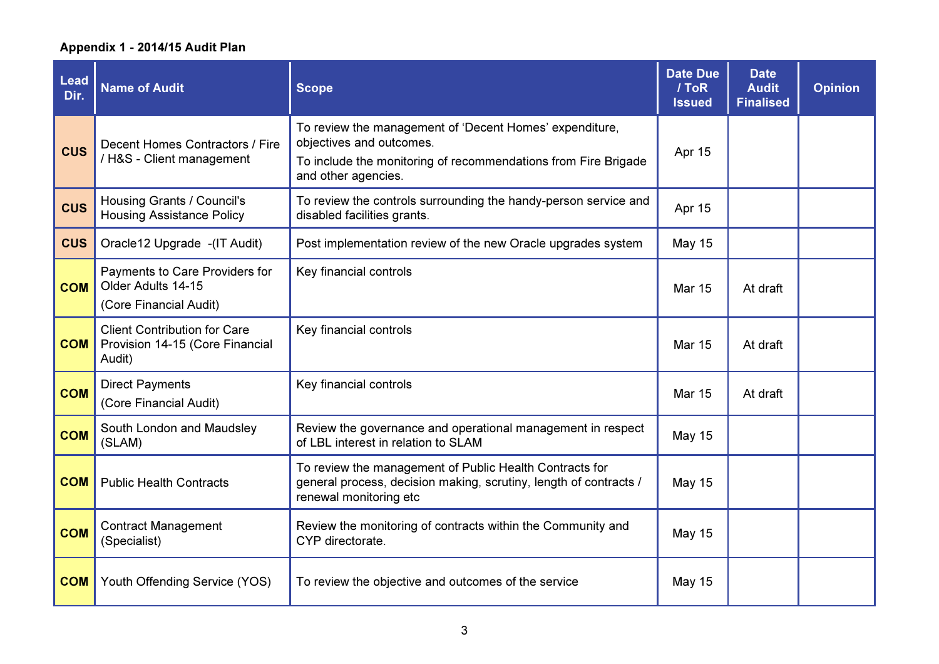| <b>Lead</b><br>Dir. | <b>Name of Audit</b>                                                             | <b>Scope</b>                                                                                                                                                                 | <b>Date Due</b><br>/ ToR<br><b>Issued</b> | <b>Date</b><br><b>Audit</b><br><b>Finalised</b> | <b>Opinion</b> |
|---------------------|----------------------------------------------------------------------------------|------------------------------------------------------------------------------------------------------------------------------------------------------------------------------|-------------------------------------------|-------------------------------------------------|----------------|
| <b>CUS</b>          | Decent Homes Contractors / Fire<br>/ H&S - Client management                     | To review the management of 'Decent Homes' expenditure,<br>objectives and outcomes.<br>To include the monitoring of recommendations from Fire Brigade<br>and other agencies. | Apr 15                                    |                                                 |                |
| <b>CUS</b>          | Housing Grants / Council's<br><b>Housing Assistance Policy</b>                   | To review the controls surrounding the handy-person service and<br>disabled facilities grants.                                                                               | Apr 15                                    |                                                 |                |
| <b>CUS</b>          | Oracle12 Upgrade -(IT Audit)                                                     | Post implementation review of the new Oracle upgrades system                                                                                                                 | <b>May 15</b>                             |                                                 |                |
| <b>COM</b>          | Payments to Care Providers for<br>Older Adults 14-15<br>(Core Financial Audit)   | Key financial controls                                                                                                                                                       | <b>Mar 15</b>                             | At draft                                        |                |
| <b>COM</b>          | <b>Client Contribution for Care</b><br>Provision 14-15 (Core Financial<br>Audit) | Key financial controls                                                                                                                                                       | <b>Mar 15</b>                             | At draft                                        |                |
| <b>COM</b>          | <b>Direct Payments</b><br>(Core Financial Audit)                                 | Key financial controls                                                                                                                                                       | <b>Mar 15</b>                             | At draft                                        |                |
| <b>COM</b>          | South London and Maudsley<br>(SLAM)                                              | Review the governance and operational management in respect<br>of LBL interest in relation to SLAM                                                                           | <b>May 15</b>                             |                                                 |                |
| <b>COM</b>          | <b>Public Health Contracts</b>                                                   | To review the management of Public Health Contracts for<br>general process, decision making, scrutiny, length of contracts /<br>renewal monitoring etc                       | <b>May 15</b>                             |                                                 |                |
| <b>COM</b>          | <b>Contract Management</b><br>(Specialist)                                       | Review the monitoring of contracts within the Community and<br>CYP directorate.                                                                                              | <b>May 15</b>                             |                                                 |                |
| <b>COM</b>          | Youth Offending Service (YOS)                                                    | To review the objective and outcomes of the service                                                                                                                          | <b>May 15</b>                             |                                                 |                |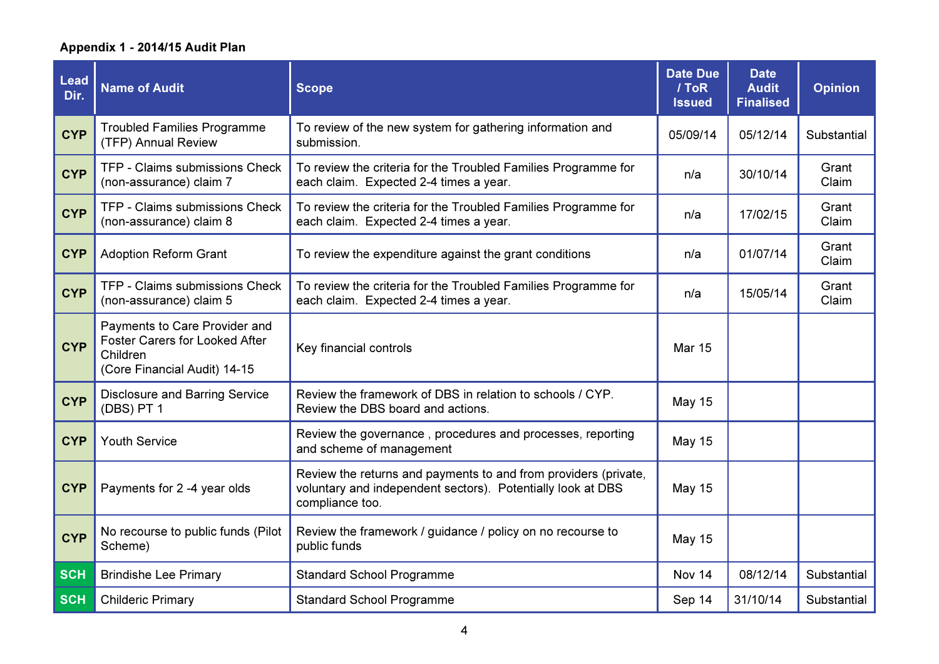| <b>Lead</b><br>Dir. | <b>Name of Audit</b>                                                                                               | <b>Scope</b>                                                                                                                                      | <b>Date Due</b><br>/ ToR<br><b>Issued</b> | <b>Date</b><br><b>Audit</b><br><b>Finalised</b> | <b>Opinion</b> |
|---------------------|--------------------------------------------------------------------------------------------------------------------|---------------------------------------------------------------------------------------------------------------------------------------------------|-------------------------------------------|-------------------------------------------------|----------------|
| <b>CYP</b>          | <b>Troubled Families Programme</b><br>(TFP) Annual Review                                                          | To review of the new system for gathering information and<br>submission.                                                                          | 05/09/14                                  | 05/12/14                                        | Substantial    |
| <b>CYP</b>          | TFP - Claims submissions Check<br>(non-assurance) claim 7                                                          | To review the criteria for the Troubled Families Programme for<br>each claim. Expected 2-4 times a year.                                          | n/a                                       | 30/10/14                                        | Grant<br>Claim |
| <b>CYP</b>          | TFP - Claims submissions Check<br>(non-assurance) claim 8                                                          | To review the criteria for the Troubled Families Programme for<br>each claim. Expected 2-4 times a year.                                          | n/a                                       | 17/02/15                                        | Grant<br>Claim |
| <b>CYP</b>          | <b>Adoption Reform Grant</b>                                                                                       | To review the expenditure against the grant conditions                                                                                            | n/a                                       | 01/07/14                                        | Grant<br>Claim |
| <b>CYP</b>          | TFP - Claims submissions Check<br>(non-assurance) claim 5                                                          | To review the criteria for the Troubled Families Programme for<br>each claim. Expected 2-4 times a year.                                          | n/a                                       | 15/05/14                                        | Grant<br>Claim |
| <b>CYP</b>          | Payments to Care Provider and<br><b>Foster Carers for Looked After</b><br>Children<br>(Core Financial Audit) 14-15 | Key financial controls                                                                                                                            | <b>Mar 15</b>                             |                                                 |                |
| <b>CYP</b>          | <b>Disclosure and Barring Service</b><br>(DBS) PT 1                                                                | Review the framework of DBS in relation to schools / CYP.<br>Review the DBS board and actions.                                                    | <b>May 15</b>                             |                                                 |                |
| <b>CYP</b>          | <b>Youth Service</b>                                                                                               | Review the governance, procedures and processes, reporting<br>and scheme of management                                                            | <b>May 15</b>                             |                                                 |                |
| <b>CYP</b>          | Payments for 2 -4 year olds                                                                                        | Review the returns and payments to and from providers (private,<br>voluntary and independent sectors). Potentially look at DBS<br>compliance too. | <b>May 15</b>                             |                                                 |                |
| <b>CYP</b>          | No recourse to public funds (Pilot<br>Scheme)                                                                      | Review the framework / guidance / policy on no recourse to<br>public funds                                                                        | <b>May 15</b>                             |                                                 |                |
| <b>SCH</b>          | <b>Brindishe Lee Primary</b>                                                                                       | <b>Standard School Programme</b>                                                                                                                  | Nov 14                                    | 08/12/14                                        | Substantial    |
| <b>SCH</b>          | <b>Childeric Primary</b>                                                                                           | <b>Standard School Programme</b>                                                                                                                  | Sep 14                                    | 31/10/14                                        | Substantial    |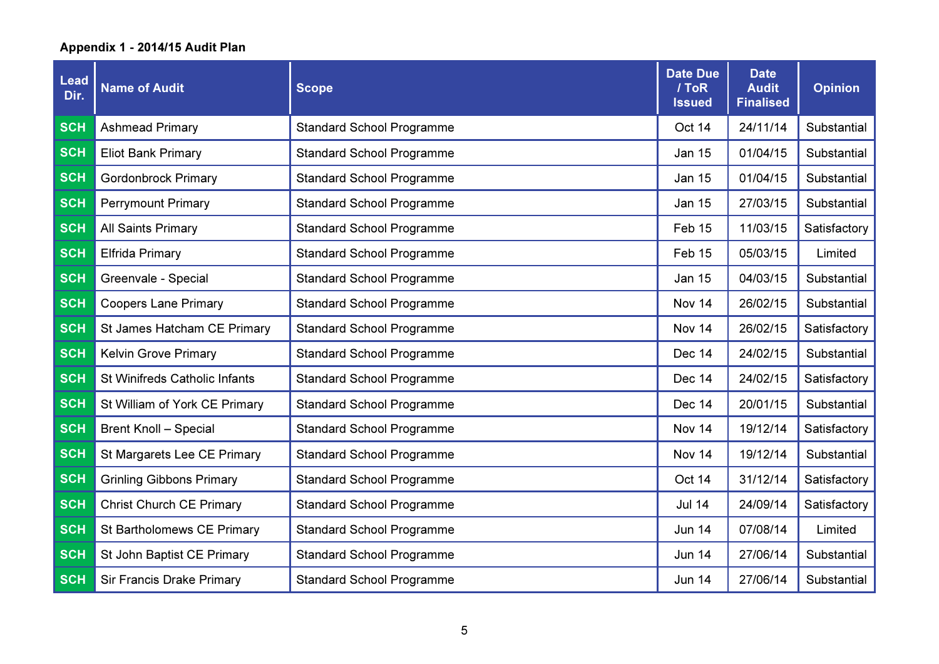| Lead<br>Dir. | <b>Name of Audit</b>            | <b>Scope</b>                     | <b>Date Due</b><br>/ ToR<br><b>Issued</b> | <b>Date</b><br><b>Audit</b><br><b>Finalised</b> | <b>Opinion</b> |
|--------------|---------------------------------|----------------------------------|-------------------------------------------|-------------------------------------------------|----------------|
| <b>SCH</b>   | <b>Ashmead Primary</b>          | <b>Standard School Programme</b> | Oct 14                                    | 24/11/14                                        | Substantial    |
| <b>SCH</b>   | <b>Eliot Bank Primary</b>       | <b>Standard School Programme</b> | <b>Jan 15</b>                             | 01/04/15                                        | Substantial    |
| <b>SCH</b>   | <b>Gordonbrock Primary</b>      | <b>Standard School Programme</b> | <b>Jan 15</b>                             | 01/04/15                                        | Substantial    |
| <b>SCH</b>   | <b>Perrymount Primary</b>       | <b>Standard School Programme</b> | <b>Jan 15</b>                             | 27/03/15                                        | Substantial    |
| <b>SCH</b>   | All Saints Primary              | <b>Standard School Programme</b> | Feb 15                                    | 11/03/15                                        | Satisfactory   |
| <b>SCH</b>   | <b>Elfrida Primary</b>          | <b>Standard School Programme</b> | Feb 15                                    | 05/03/15                                        | Limited        |
| <b>SCH</b>   | Greenvale - Special             | <b>Standard School Programme</b> | <b>Jan 15</b>                             | 04/03/15                                        | Substantial    |
| <b>SCH</b>   | <b>Coopers Lane Primary</b>     | <b>Standard School Programme</b> | Nov 14                                    | 26/02/15                                        | Substantial    |
| <b>SCH</b>   | St James Hatcham CE Primary     | <b>Standard School Programme</b> | Nov 14                                    | 26/02/15                                        | Satisfactory   |
| <b>SCH</b>   | <b>Kelvin Grove Primary</b>     | <b>Standard School Programme</b> | Dec 14                                    | 24/02/15                                        | Substantial    |
| <b>SCH</b>   | St Winifreds Catholic Infants   | <b>Standard School Programme</b> | Dec 14                                    | 24/02/15                                        | Satisfactory   |
| <b>SCH</b>   | St William of York CE Primary   | <b>Standard School Programme</b> | Dec 14                                    | 20/01/15                                        | Substantial    |
| <b>SCH</b>   | <b>Brent Knoll - Special</b>    | <b>Standard School Programme</b> | Nov 14                                    | 19/12/14                                        | Satisfactory   |
| <b>SCH</b>   | St Margarets Lee CE Primary     | <b>Standard School Programme</b> | Nov 14                                    | 19/12/14                                        | Substantial    |
| <b>SCH</b>   | <b>Grinling Gibbons Primary</b> | <b>Standard School Programme</b> | Oct 14                                    | 31/12/14                                        | Satisfactory   |
| <b>SCH</b>   | <b>Christ Church CE Primary</b> | <b>Standard School Programme</b> | <b>Jul 14</b>                             | 24/09/14                                        | Satisfactory   |
| <b>SCH</b>   | St Bartholomews CE Primary      | <b>Standard School Programme</b> | <b>Jun 14</b>                             | 07/08/14                                        | Limited        |
| <b>SCH</b>   | St John Baptist CE Primary      | <b>Standard School Programme</b> | <b>Jun 14</b>                             | 27/06/14                                        | Substantial    |
| <b>SCH</b>   | Sir Francis Drake Primary       | <b>Standard School Programme</b> | <b>Jun 14</b>                             | 27/06/14                                        | Substantial    |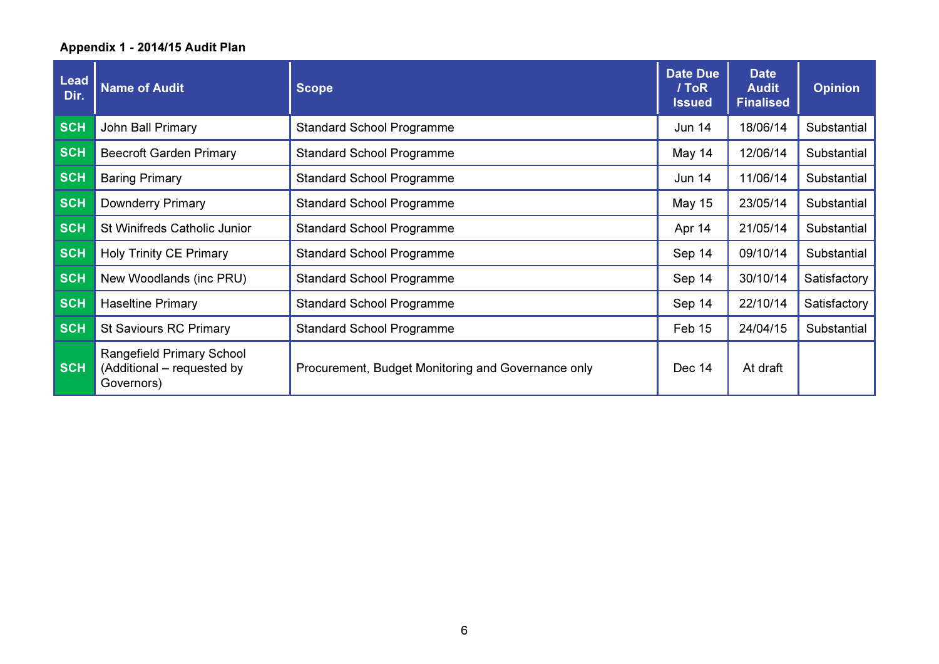| <b>Lead</b><br>Dir. | <b>Name of Audit</b>                                                  | <b>Scope</b>                                       | <b>Date Due</b><br>/ ToR<br><b>Issued</b> | <b>Date</b><br><b>Audit</b><br><b>Finalised</b> | <b>Opinion</b> |
|---------------------|-----------------------------------------------------------------------|----------------------------------------------------|-------------------------------------------|-------------------------------------------------|----------------|
| <b>SCH</b>          | John Ball Primary                                                     | <b>Standard School Programme</b>                   | <b>Jun 14</b>                             | 18/06/14                                        | Substantial    |
| <b>SCH</b>          | <b>Beecroft Garden Primary</b>                                        | <b>Standard School Programme</b>                   | May 14                                    | 12/06/14                                        | Substantial    |
| <b>SCH</b>          | <b>Baring Primary</b>                                                 | <b>Standard School Programme</b>                   | <b>Jun 14</b>                             | 11/06/14                                        | Substantial    |
| <b>SCH</b>          | <b>Downderry Primary</b>                                              | <b>Standard School Programme</b>                   | <b>May 15</b>                             | 23/05/14                                        | Substantial    |
| <b>SCH</b>          | St Winifreds Catholic Junior                                          | <b>Standard School Programme</b>                   | Apr 14                                    | 21/05/14                                        | Substantial    |
| <b>SCH</b>          | <b>Holy Trinity CE Primary</b>                                        | <b>Standard School Programme</b>                   | Sep 14                                    | 09/10/14                                        | Substantial    |
| <b>SCH</b>          | New Woodlands (inc PRU)                                               | <b>Standard School Programme</b>                   | Sep 14                                    | 30/10/14                                        | Satisfactory   |
| <b>SCH</b>          | <b>Haseltine Primary</b>                                              | <b>Standard School Programme</b>                   | Sep 14                                    | 22/10/14                                        | Satisfactory   |
| <b>SCH</b>          | <b>St Saviours RC Primary</b>                                         | <b>Standard School Programme</b>                   | Feb 15                                    | 24/04/15                                        | Substantial    |
| <b>SCH</b>          | Rangefield Primary School<br>(Additional – requested by<br>Governors) | Procurement, Budget Monitoring and Governance only | Dec 14                                    | At draft                                        |                |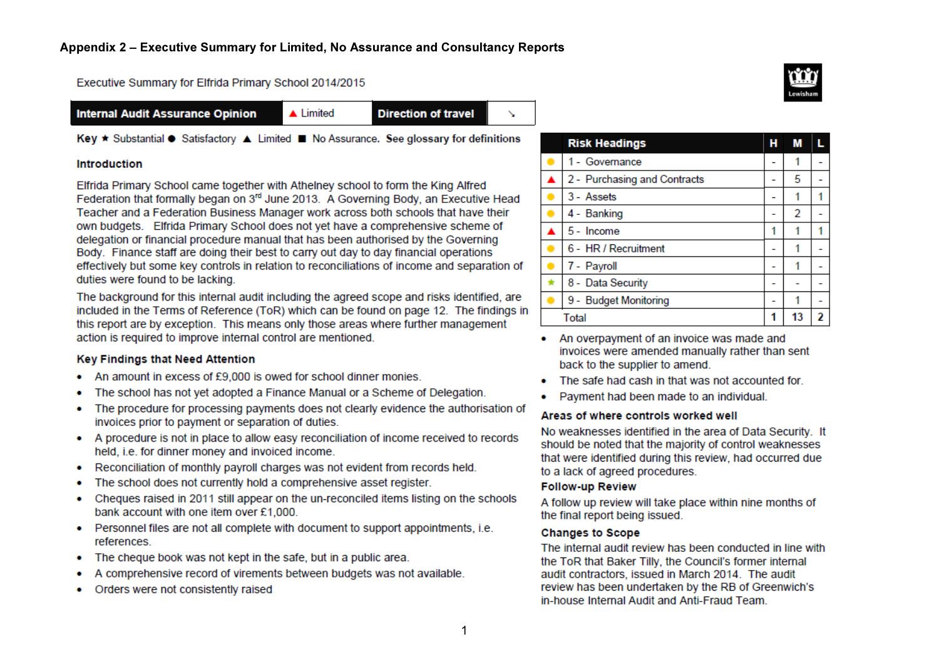Executive Summary for Elfrida Primary School 2014/2015

**Internal Audit Assurance Opinion** 

 $\triangle$  Limited

**Direction of travel** 

 $\checkmark$ 

Key ★ Substantial ● Satisfactory ▲ Limited ■ No Assurance. See glossary for definitions

#### **Introduction**

Elfrida Primary School came together with Athelney school to form the King Alfred Federation that formally began on 3<sup>rd</sup> June 2013. A Governing Body, an Executive Head Teacher and a Federation Business Manager work across both schools that have their own budgets. Elfrida Primary School does not yet have a comprehensive scheme of delegation or financial procedure manual that has been authorised by the Governing Body. Finance staff are doing their best to carry out day to day financial operations effectively but some key controls in relation to reconciliations of income and separation of duties were found to be lacking.

The background for this internal audit including the agreed scope and risks identified, are included in the Terms of Reference (ToR) which can be found on page 12. The findings in this report are by exception. This means only those areas where further management action is required to improve internal control are mentioned.

#### Key Findings that Need Attention

- An amount in excess of £9,000 is owed for school dinner monies.
- The school has not yet adopted a Finance Manual or a Scheme of Delegation.
- The procedure for processing payments does not clearly evidence the authorisation of invoices prior to payment or separation of duties.
- A procedure is not in place to allow easy reconciliation of income received to records held, i.e. for dinner money and invoiced income.
- Reconciliation of monthly payroll charges was not evident from records held.
- The school does not currently hold a comprehensive asset register.
- Cheques raised in 2011 still appear on the un-reconciled items listing on the schools  $\bullet$ bank account with one item over £1,000.
- Personnel files are not all complete with document to support appointments, i.e. references.
- The cheque book was not kept in the safe, but in a public area. ٠
- A comprehensive record of virements between budgets was not available.
- Orders were not consistently raised

| <b>Risk Headings</b>         | н | M  |  |
|------------------------------|---|----|--|
| 1 - Governance               |   |    |  |
| 2 - Purchasing and Contracts |   | 5  |  |
| 3 - Assets                   |   |    |  |
| 4 - Banking                  |   | 2  |  |
| 5 - Income                   |   |    |  |
| 6 - HR / Recruitment         |   |    |  |
| 7 - Payroll                  |   |    |  |
| 8 - Data Security            |   |    |  |
| 9 - Budget Monitoring        |   |    |  |
| Total                        |   | 13 |  |

- An overpayment of an invoice was made and invoices were amended manually rather than sent back to the supplier to amend.
- The safe had cash in that was not accounted for.
- Payment had been made to an individual.

#### Areas of where controls worked well

No weaknesses identified in the area of Data Security. It should be noted that the majority of control weaknesses that were identified during this review, had occurred due to a lack of agreed procedures.

#### **Follow-up Review**

A follow up review will take place within nine months of the final report being issued.

#### **Changes to Scope**

The internal audit review has been conducted in line with the ToR that Baker Tilly, the Council's former internal audit contractors, issued in March 2014. The audit review has been undertaken by the RB of Greenwich's in-house Internal Audit and Anti-Fraud Team.

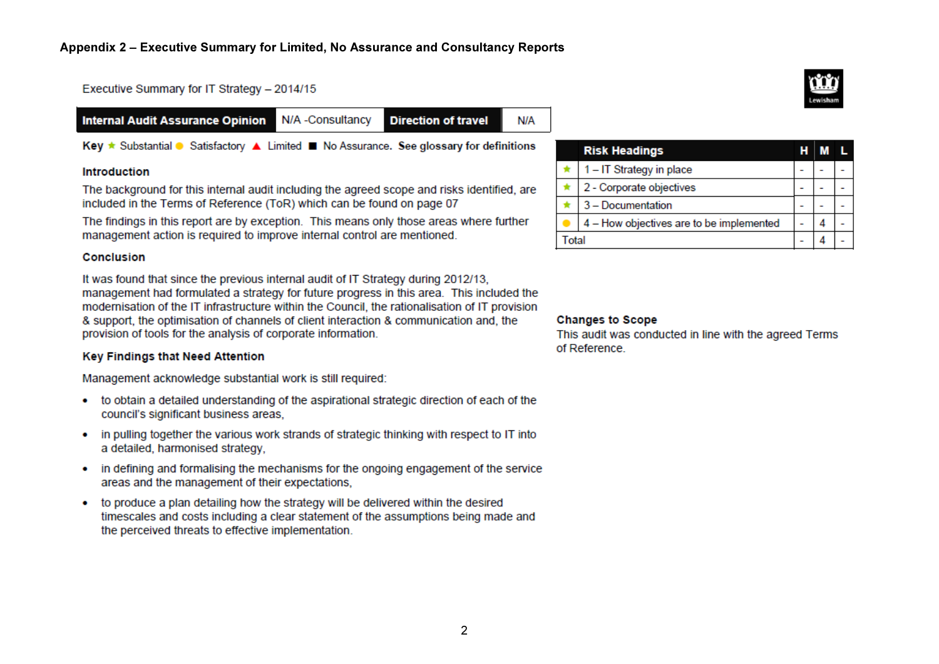Executive Summary for IT Strategy - 2014/15

| <b>Internal Audit Assurance Opinion N/A - Consultancy</b> |  | <b>Direction of travel</b> | N/A |
|-----------------------------------------------------------|--|----------------------------|-----|
|-----------------------------------------------------------|--|----------------------------|-----|

Key ★ Substantial ● Satisfactory ▲ Limited ■ No Assurance. See glossary for definitions

#### Introduction

The background for this internal audit including the agreed scope and risks identified, are included in the Terms of Reference (ToR) which can be found on page 07

The findings in this report are by exception. This means only those areas where further management action is required to improve internal control are mentioned.

#### Conclusion

It was found that since the previous internal audit of IT Strategy during 2012/13. management had formulated a strategy for future progress in this area. This included the modernisation of the IT infrastructure within the Council, the rationalisation of IT provision & support, the optimisation of channels of client interaction & communication and, the provision of tools for the analysis of corporate information.

#### **Key Findings that Need Attention**

Management acknowledge substantial work is still required:

- to obtain a detailed understanding of the aspirational strategic direction of each of the council's significant business areas,
- in pulling together the various work strands of strategic thinking with respect to IT into a detailed, harmonised strategy.
- in defining and formalising the mechanisms for the ongoing engagement of the service areas and the management of their expectations.
- to produce a plan detailing how the strategy will be delivered within the desired  $\bullet$ timescales and costs including a clear statement of the assumptions being made and the perceived threats to effective implementation.

|      | <b>Risk Headings</b>                     | н |  |
|------|------------------------------------------|---|--|
|      | 1-IT Strategy in place                   |   |  |
|      | 2 - Corporate objectives                 |   |  |
|      | 3 - Documentation                        |   |  |
|      | 4 - How objectives are to be implemented |   |  |
| otal |                                          |   |  |

#### **Changes to Scope**

This audit was conducted in line with the agreed Terms of Reference.

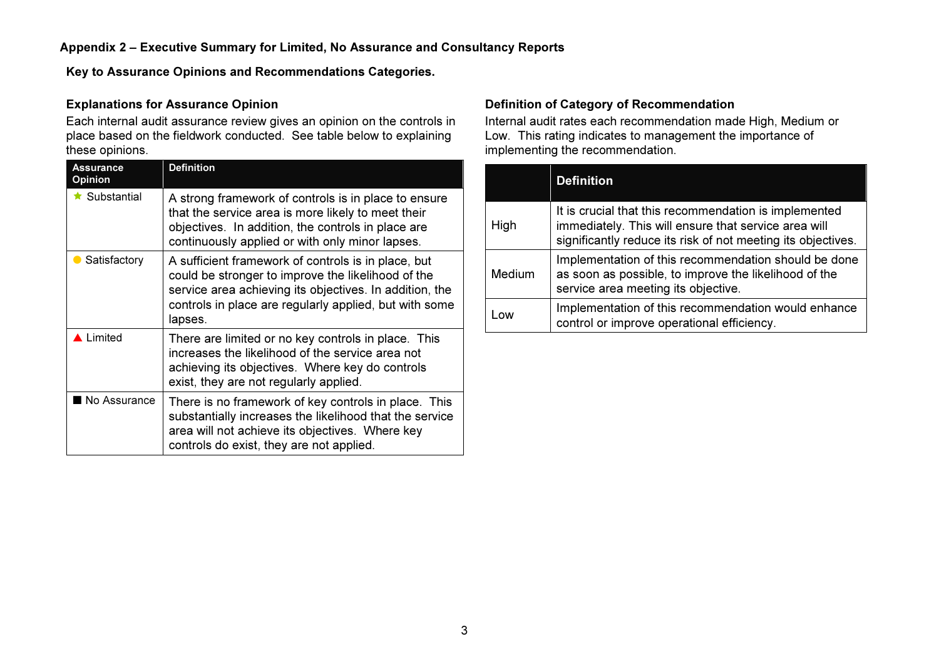Key to Assurance Opinions and Recommendations Categories.

#### Explanations for Assurance Opinion

 Each internal audit assurance review gives an opinion on the controls in place based on the fieldwork conducted. See table below to explaining these opinions.

| Assurance<br><b>Opinion</b> | <b>Definition</b>                                                                                                                                                                                                                         |
|-----------------------------|-------------------------------------------------------------------------------------------------------------------------------------------------------------------------------------------------------------------------------------------|
| $\star$ Substantial         | A strong framework of controls is in place to ensure<br>that the service area is more likely to meet their<br>objectives. In addition, the controls in place are<br>continuously applied or with only minor lapses.                       |
| Satisfactory                | A sufficient framework of controls is in place, but<br>could be stronger to improve the likelihood of the<br>service area achieving its objectives. In addition, the<br>controls in place are regularly applied, but with some<br>lapses. |
| Limited                     | There are limited or no key controls in place. This<br>increases the likelihood of the service area not<br>achieving its objectives. Where key do controls<br>exist, they are not regularly applied.                                      |
| No Assurance                | There is no framework of key controls in place. This<br>substantially increases the likelihood that the service<br>area will not achieve its objectives. Where key<br>controls do exist, they are not applied.                            |

#### Definition of Category of Recommendation

 Internal audit rates each recommendation made High, Medium or Low. This rating indicates to management the importance ofimplementing the recommendation.

|               | <b>Definition</b>                                                                                                                                                             |
|---------------|-------------------------------------------------------------------------------------------------------------------------------------------------------------------------------|
| High          | It is crucial that this recommendation is implemented<br>immediately. This will ensure that service area will<br>significantly reduce its risk of not meeting its objectives. |
| <b>Medium</b> | Implementation of this recommendation should be done<br>as soon as possible, to improve the likelihood of the<br>service area meeting its objective.                          |
| Low           | Implementation of this recommendation would enhance<br>control or improve operational efficiency.                                                                             |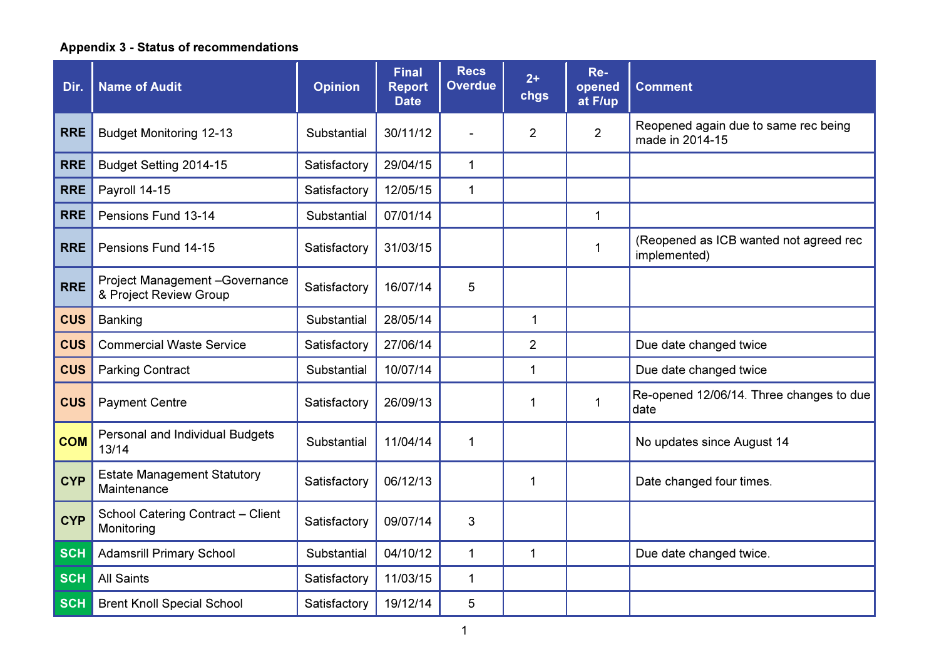# Appendix 3 - Status of recommendations

| Dir.       | <b>Name of Audit</b>                                      | <b>Opinion</b> | <b>Final</b><br><b>Report</b><br><b>Date</b> | <b>Recs</b><br><b>Overdue</b> | $2+$<br>chgs   | Re-<br>opened<br>at F/up | <b>Comment</b>                                          |
|------------|-----------------------------------------------------------|----------------|----------------------------------------------|-------------------------------|----------------|--------------------------|---------------------------------------------------------|
| <b>RRE</b> | <b>Budget Monitoring 12-13</b>                            | Substantial    | 30/11/12                                     |                               | $\overline{2}$ | $\overline{2}$           | Reopened again due to same rec being<br>made in 2014-15 |
| <b>RRE</b> | Budget Setting 2014-15                                    | Satisfactory   | 29/04/15                                     | $\mathbf 1$                   |                |                          |                                                         |
| <b>RRE</b> | Payroll 14-15                                             | Satisfactory   | 12/05/15                                     | $\mathbf{1}$                  |                |                          |                                                         |
| <b>RRE</b> | Pensions Fund 13-14                                       | Substantial    | 07/01/14                                     |                               |                | $\mathbf{1}$             |                                                         |
| <b>RRE</b> | Pensions Fund 14-15                                       | Satisfactory   | 31/03/15                                     |                               |                | $\mathbf{1}$             | (Reopened as ICB wanted not agreed rec<br>implemented)  |
| <b>RRE</b> | Project Management - Governance<br>& Project Review Group | Satisfactory   | 16/07/14                                     | 5                             |                |                          |                                                         |
| <b>CUS</b> | Banking                                                   | Substantial    | 28/05/14                                     |                               | $\mathbf{1}$   |                          |                                                         |
| <b>CUS</b> | <b>Commercial Waste Service</b>                           | Satisfactory   | 27/06/14                                     |                               | $\overline{2}$ |                          | Due date changed twice                                  |
| <b>CUS</b> | <b>Parking Contract</b>                                   | Substantial    | 10/07/14                                     |                               | 1              |                          | Due date changed twice                                  |
| <b>CUS</b> | <b>Payment Centre</b>                                     | Satisfactory   | 26/09/13                                     |                               | 1              | $\mathbf 1$              | Re-opened 12/06/14. Three changes to due<br>date        |
| <b>COM</b> | Personal and Individual Budgets<br>13/14                  | Substantial    | 11/04/14                                     | 1                             |                |                          | No updates since August 14                              |
| <b>CYP</b> | <b>Estate Management Statutory</b><br>Maintenance         | Satisfactory   | 06/12/13                                     |                               | 1              |                          | Date changed four times.                                |
| <b>CYP</b> | School Catering Contract - Client<br>Monitoring           | Satisfactory   | 09/07/14                                     | 3                             |                |                          |                                                         |
| <b>SCH</b> | <b>Adamsrill Primary School</b>                           | Substantial    | 04/10/12                                     | $\mathbf{1}$                  | 1              |                          | Due date changed twice.                                 |
| <b>SCH</b> | <b>All Saints</b>                                         | Satisfactory   | 11/03/15                                     | $\mathbf{1}$                  |                |                          |                                                         |
| <b>SCH</b> | <b>Brent Knoll Special School</b>                         | Satisfactory   | 19/12/14                                     | 5                             |                |                          |                                                         |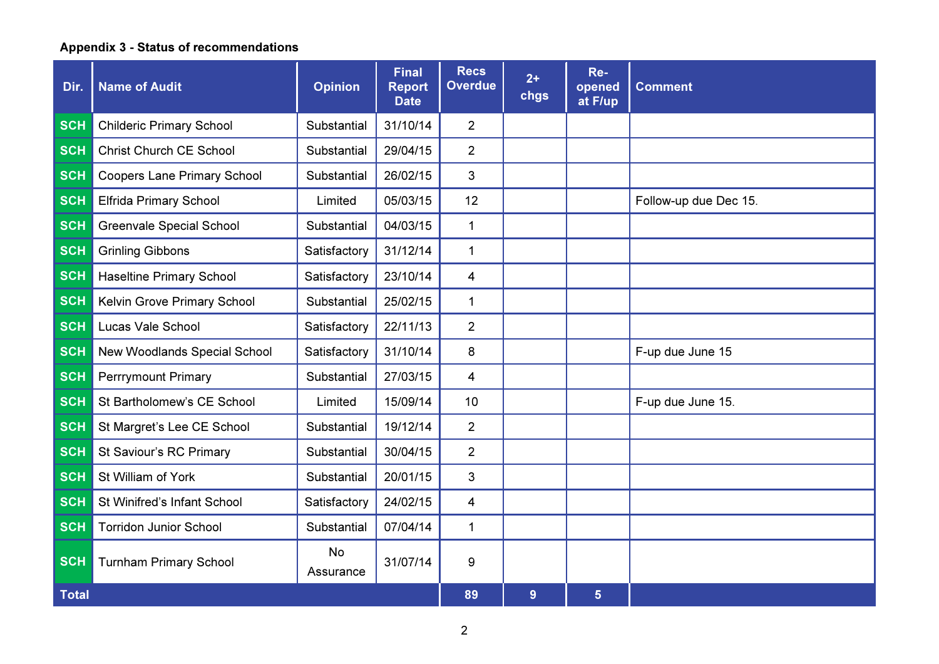# Appendix 3 - Status of recommendations

| Dir.         | <b>Name of Audit</b>               | <b>Opinion</b>  | <b>Final</b><br><b>Report</b><br><b>Date</b> | <b>Recs</b><br><b>Overdue</b> | $2+$<br>chgs | Re-<br>opened<br>at F/up | <b>Comment</b>        |
|--------------|------------------------------------|-----------------|----------------------------------------------|-------------------------------|--------------|--------------------------|-----------------------|
| <b>SCH</b>   | <b>Childeric Primary School</b>    | Substantial     | 31/10/14                                     | $\overline{2}$                |              |                          |                       |
| <b>SCH</b>   | <b>Christ Church CE School</b>     | Substantial     | 29/04/15                                     | $\overline{2}$                |              |                          |                       |
| <b>SCH</b>   | <b>Coopers Lane Primary School</b> | Substantial     | 26/02/15                                     | 3                             |              |                          |                       |
| <b>SCH</b>   | <b>Elfrida Primary School</b>      | Limited         | 05/03/15                                     | 12                            |              |                          | Follow-up due Dec 15. |
| <b>SCH</b>   | <b>Greenvale Special School</b>    | Substantial     | 04/03/15                                     | $\mathbf{1}$                  |              |                          |                       |
| <b>SCH</b>   | <b>Grinling Gibbons</b>            | Satisfactory    | 31/12/14                                     | $\mathbf{1}$                  |              |                          |                       |
| <b>SCH</b>   | <b>Haseltine Primary School</b>    | Satisfactory    | 23/10/14                                     | 4                             |              |                          |                       |
| <b>SCH</b>   | Kelvin Grove Primary School        | Substantial     | 25/02/15                                     | $\mathbf{1}$                  |              |                          |                       |
| <b>SCH</b>   | Lucas Vale School                  | Satisfactory    | 22/11/13                                     | $\overline{2}$                |              |                          |                       |
| <b>SCH</b>   | New Woodlands Special School       | Satisfactory    | 31/10/14                                     | 8                             |              |                          | F-up due June 15      |
| <b>SCH</b>   | <b>Perrrymount Primary</b>         | Substantial     | 27/03/15                                     | $\overline{4}$                |              |                          |                       |
| <b>SCH</b>   | St Bartholomew's CE School         | Limited         | 15/09/14                                     | 10                            |              |                          | F-up due June 15.     |
| <b>SCH</b>   | St Margret's Lee CE School         | Substantial     | 19/12/14                                     | $\overline{2}$                |              |                          |                       |
| <b>SCH</b>   | St Saviour's RC Primary            | Substantial     | 30/04/15                                     | $\overline{2}$                |              |                          |                       |
| <b>SCH</b>   | St William of York                 | Substantial     | 20/01/15                                     | 3                             |              |                          |                       |
| <b>SCH</b>   | St Winifred's Infant School        | Satisfactory    | 24/02/15                                     | 4                             |              |                          |                       |
| <b>SCH</b>   | <b>Torridon Junior School</b>      | Substantial     | 07/04/14                                     | $\mathbf{1}$                  |              |                          |                       |
| <b>SCH</b>   | <b>Turnham Primary School</b>      | No<br>Assurance | 31/07/14                                     | 9                             |              |                          |                       |
| <b>Total</b> |                                    |                 |                                              | 89                            | 9            | $\overline{5}$           |                       |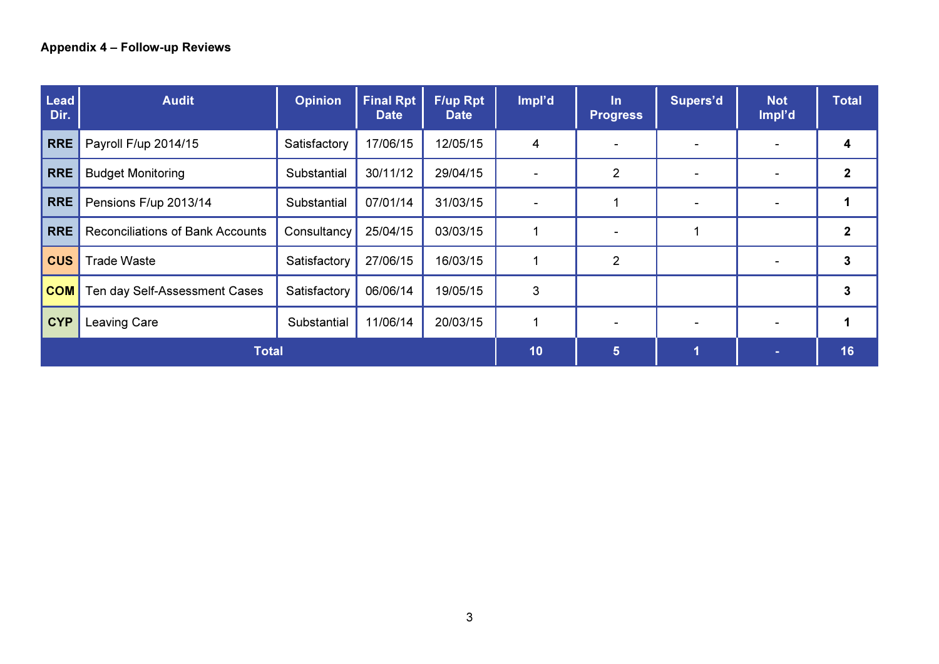| <b>Lead</b><br>Dir. | <b>Audit</b>                            | <b>Opinion</b> | <b>Final Rpt</b><br><b>Date</b> | <b>F/up Rpt</b><br><b>Date</b> | Impl'd         | $\ln$<br><b>Progress</b> | Supers'd       | <b>Not</b><br>Impl'd | <b>Total</b> |
|---------------------|-----------------------------------------|----------------|---------------------------------|--------------------------------|----------------|--------------------------|----------------|----------------------|--------------|
| <b>RRE</b>          | Payroll F/up 2014/15                    | Satisfactory   | 17/06/15                        | 12/05/15                       | 4              |                          |                |                      | 4            |
| <b>RRE</b>          | <b>Budget Monitoring</b>                | Substantial    | 30/11/12                        | 29/04/15                       |                | $\overline{2}$           | $\blacksquare$ | $\sim$               | $\mathbf{2}$ |
| <b>RRE</b>          | Pensions F/up 2013/14                   | Substantial    | 07/01/14                        | 31/03/15                       |                |                          |                |                      |              |
| <b>RRE</b>          | <b>Reconciliations of Bank Accounts</b> | Consultancy    | 25/04/15                        | 03/03/15                       |                |                          | 1              |                      | $\mathbf{2}$ |
| <b>CUS</b>          | <b>Trade Waste</b>                      | Satisfactory   | 27/06/15                        | 16/03/15                       |                | 2                        |                |                      | 3            |
| <b>COM</b>          | Ten day Self-Assessment Cases           | Satisfactory   | 06/06/14                        | 19/05/15                       | 3              |                          |                |                      | 3            |
| <b>CYP</b>          | Leaving Care                            | Substantial    | 11/06/14                        | 20/03/15                       |                | $\overline{\phantom{a}}$ | $\,$           |                      | 1            |
| <b>Total</b>        |                                         |                |                                 | 10                             | $5\phantom{.}$ | 1                        | $\sim$         | 16                   |              |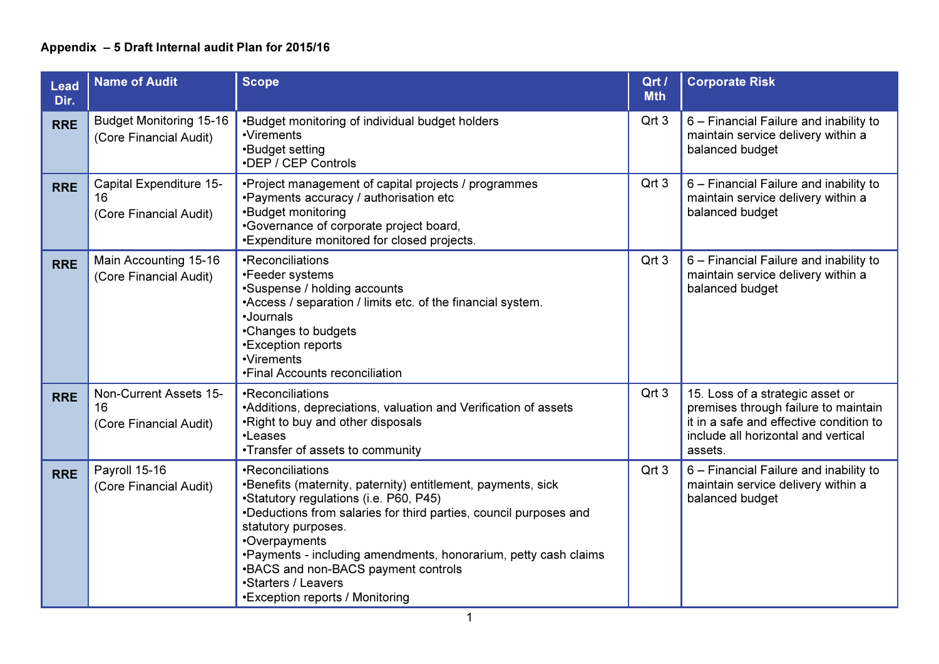| <b>Lead</b><br>Dir. | <b>Name of Audit</b>                                     | <b>Scope</b>                                                                                                                                                                                                                                                                                                                                                                                                 | Qrt /<br><b>Mth</b> | <b>Corporate Risk</b>                                                                                                                                                 |
|---------------------|----------------------------------------------------------|--------------------------------------------------------------------------------------------------------------------------------------------------------------------------------------------------------------------------------------------------------------------------------------------------------------------------------------------------------------------------------------------------------------|---------------------|-----------------------------------------------------------------------------------------------------------------------------------------------------------------------|
| <b>RRE</b>          | <b>Budget Monitoring 15-16</b><br>(Core Financial Audit) | •Budget monitoring of individual budget holders<br>•Virements<br>•Budget setting<br>•DEP / CEP Controls                                                                                                                                                                                                                                                                                                      | Qrt 3               | 6 - Financial Failure and inability to<br>maintain service delivery within a<br>balanced budget                                                                       |
| <b>RRE</b>          | Capital Expenditure 15-<br>16<br>(Core Financial Audit)  | •Project management of capital projects / programmes<br>•Payments accuracy / authorisation etc<br>•Budget monitoring<br>•Governance of corporate project board,<br>•Expenditure monitored for closed projects.                                                                                                                                                                                               | Qrt 3               | 6 - Financial Failure and inability to<br>maintain service delivery within a<br>balanced budget                                                                       |
| <b>RRE</b>          | Main Accounting 15-16<br>(Core Financial Audit)          | •Reconciliations<br>•Feeder systems<br>•Suspense / holding accounts<br>•Access / separation / limits etc. of the financial system.<br>·Journals<br>•Changes to budgets<br>•Exception reports<br>•Virements<br>•Final Accounts reconciliation                                                                                                                                                                 | Qrt 3               | 6 - Financial Failure and inability to<br>maintain service delivery within a<br>balanced budget                                                                       |
| <b>RRE</b>          | Non-Current Assets 15-<br>16<br>(Core Financial Audit)   | •Reconciliations<br>•Additions, depreciations, valuation and Verification of assets<br>.Right to buy and other disposals<br>•Leases<br>•Transfer of assets to community                                                                                                                                                                                                                                      | Qrt 3               | 15. Loss of a strategic asset or<br>premises through failure to maintain<br>it in a safe and effective condition to<br>include all horizontal and vertical<br>assets. |
| <b>RRE</b>          | Payroll 15-16<br>(Core Financial Audit)                  | •Reconciliations<br>•Benefits (maternity, paternity) entitlement, payments, sick<br>•Statutory regulations (i.e. P60, P45)<br>•Deductions from salaries for third parties, council purposes and<br>statutory purposes.<br>•Overpayments<br>. Payments - including amendments, honorarium, petty cash claims<br>•BACS and non-BACS payment controls<br>•Starters / Leavers<br>•Exception reports / Monitoring | Qrt 3               | 6 - Financial Failure and inability to<br>maintain service delivery within a<br>balanced budget                                                                       |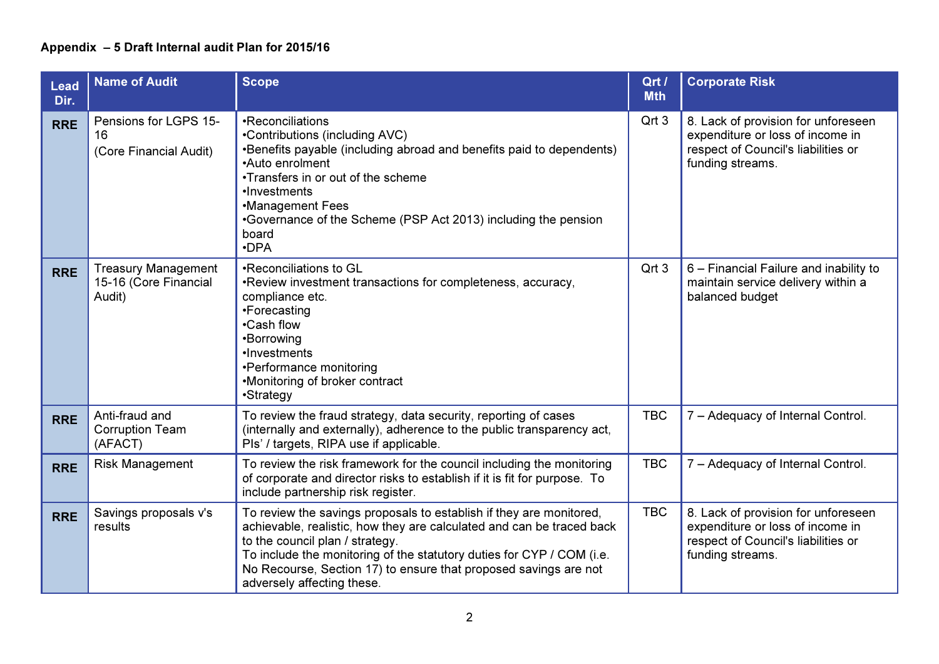| <b>Lead</b><br>Dir. | <b>Name of Audit</b>                                          | <b>Scope</b>                                                                                                                                                                                                                                                                                                                                               | Qrt /<br><b>Mth</b> | <b>Corporate Risk</b>                                                                                                              |
|---------------------|---------------------------------------------------------------|------------------------------------------------------------------------------------------------------------------------------------------------------------------------------------------------------------------------------------------------------------------------------------------------------------------------------------------------------------|---------------------|------------------------------------------------------------------------------------------------------------------------------------|
| <b>RRE</b>          | Pensions for LGPS 15-<br>16<br>(Core Financial Audit)         | •Reconciliations<br>•Contributions (including AVC)<br>•Benefits payable (including abroad and benefits paid to dependents)<br>•Auto enrolment<br>•Transfers in or out of the scheme<br>•Investments<br>•Management Fees<br>•Governance of the Scheme (PSP Act 2013) including the pension<br>board<br>$\cdot$ DPA                                          | Qrt 3               | 8. Lack of provision for unforeseen<br>expenditure or loss of income in<br>respect of Council's liabilities or<br>funding streams. |
| <b>RRE</b>          | <b>Treasury Management</b><br>15-16 (Core Financial<br>Audit) | •Reconciliations to GL<br>. Review investment transactions for completeness, accuracy,<br>compliance etc.<br>•Forecasting<br>•Cash flow<br>•Borrowing<br>•Investments<br>•Performance monitoring<br>•Monitoring of broker contract<br>•Strategy                                                                                                            | Qrt 3               | 6 - Financial Failure and inability to<br>maintain service delivery within a<br>balanced budget                                    |
| <b>RRE</b>          | Anti-fraud and<br><b>Corruption Team</b><br>(AFACT)           | To review the fraud strategy, data security, reporting of cases<br>(internally and externally), adherence to the public transparency act,<br>Pls' / targets, RIPA use if applicable.                                                                                                                                                                       | <b>TBC</b>          | 7 - Adequacy of Internal Control.                                                                                                  |
| <b>RRE</b>          | <b>Risk Management</b>                                        | To review the risk framework for the council including the monitoring<br>of corporate and director risks to establish if it is fit for purpose. To<br>include partnership risk register.                                                                                                                                                                   | <b>TBC</b>          | 7 - Adequacy of Internal Control.                                                                                                  |
| <b>RRE</b>          | Savings proposals v's<br>results                              | To review the savings proposals to establish if they are monitored,<br>achievable, realistic, how they are calculated and can be traced back<br>to the council plan / strategy.<br>To include the monitoring of the statutory duties for CYP / COM (i.e.<br>No Recourse, Section 17) to ensure that proposed savings are not<br>adversely affecting these. | <b>TBC</b>          | 8. Lack of provision for unforeseen<br>expenditure or loss of income in<br>respect of Council's liabilities or<br>funding streams. |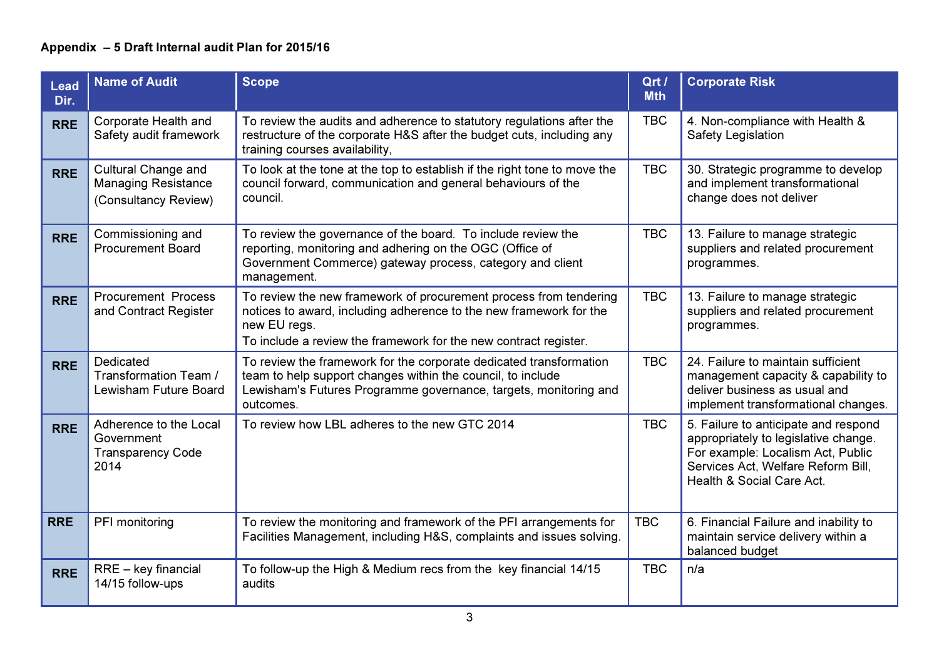| <b>Lead</b><br>Dir. | <b>Name of Audit</b>                                                             | <b>Scope</b>                                                                                                                                                                                                                | Qrt /<br><b>Mth</b> | <b>Corporate Risk</b>                                                                                                                                                                |
|---------------------|----------------------------------------------------------------------------------|-----------------------------------------------------------------------------------------------------------------------------------------------------------------------------------------------------------------------------|---------------------|--------------------------------------------------------------------------------------------------------------------------------------------------------------------------------------|
| <b>RRE</b>          | Corporate Health and<br>Safety audit framework                                   | To review the audits and adherence to statutory regulations after the<br>restructure of the corporate H&S after the budget cuts, including any<br>training courses availability,                                            | <b>TBC</b>          | 4. Non-compliance with Health &<br>Safety Legislation                                                                                                                                |
| <b>RRE</b>          | <b>Cultural Change and</b><br><b>Managing Resistance</b><br>(Consultancy Review) | To look at the tone at the top to establish if the right tone to move the<br>council forward, communication and general behaviours of the<br>council.                                                                       | <b>TBC</b>          | 30. Strategic programme to develop<br>and implement transformational<br>change does not deliver                                                                                      |
| <b>RRE</b>          | Commissioning and<br><b>Procurement Board</b>                                    | To review the governance of the board. To include review the<br>reporting, monitoring and adhering on the OGC (Office of<br>Government Commerce) gateway process, category and client<br>management.                        | <b>TBC</b>          | 13. Failure to manage strategic<br>suppliers and related procurement<br>programmes.                                                                                                  |
| <b>RRE</b>          | <b>Procurement Process</b><br>and Contract Register                              | To review the new framework of procurement process from tendering<br>notices to award, including adherence to the new framework for the<br>new EU regs.<br>To include a review the framework for the new contract register. | <b>TBC</b>          | 13. Failure to manage strategic<br>suppliers and related procurement<br>programmes.                                                                                                  |
| <b>RRE</b>          | Dedicated<br>Transformation Team /<br>Lewisham Future Board                      | To review the framework for the corporate dedicated transformation<br>team to help support changes within the council, to include<br>Lewisham's Futures Programme governance, targets, monitoring and<br>outcomes.          | <b>TBC</b>          | 24. Failure to maintain sufficient<br>management capacity & capability to<br>deliver business as usual and<br>implement transformational changes.                                    |
| <b>RRE</b>          | Adherence to the Local<br>Government<br><b>Transparency Code</b><br>2014         | To review how LBL adheres to the new GTC 2014                                                                                                                                                                               | <b>TBC</b>          | 5. Failure to anticipate and respond<br>appropriately to legislative change.<br>For example: Localism Act, Public<br>Services Act, Welfare Reform Bill,<br>Health & Social Care Act. |
| <b>RRE</b>          | PFI monitoring                                                                   | To review the monitoring and framework of the PFI arrangements for<br>Facilities Management, including H&S, complaints and issues solving.                                                                                  | <b>TBC</b>          | 6. Financial Failure and inability to<br>maintain service delivery within a<br>balanced budget                                                                                       |
| <b>RRE</b>          | $RRE - key financial$<br>14/15 follow-ups                                        | To follow-up the High & Medium recs from the key financial 14/15<br>audits                                                                                                                                                  | <b>TBC</b>          | n/a                                                                                                                                                                                  |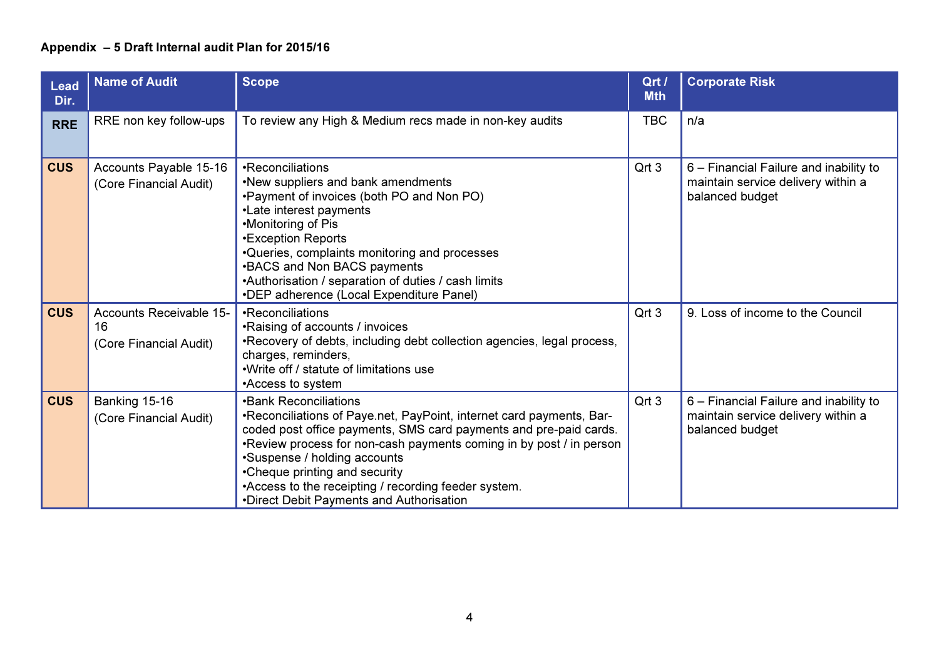| <b>Lead</b><br>Dir. | <b>Name of Audit</b>                                    | <b>Scope</b>                                                                                                                                                                                                                                                                                                                                                                                                            | Qrt /<br><b>Mth</b> | <b>Corporate Risk</b>                                                                           |
|---------------------|---------------------------------------------------------|-------------------------------------------------------------------------------------------------------------------------------------------------------------------------------------------------------------------------------------------------------------------------------------------------------------------------------------------------------------------------------------------------------------------------|---------------------|-------------------------------------------------------------------------------------------------|
| <b>RRE</b>          | RRE non key follow-ups                                  | To review any High & Medium recs made in non-key audits                                                                                                                                                                                                                                                                                                                                                                 | <b>TBC</b>          | n/a                                                                                             |
| <b>CUS</b>          | Accounts Payable 15-16<br>(Core Financial Audit)        | •Reconciliations<br>.New suppliers and bank amendments<br>. Payment of invoices (both PO and Non PO)<br>•Late interest payments<br>•Monitoring of Pis<br><b>*Exception Reports</b><br>•Queries, complaints monitoring and processes<br>•BACS and Non BACS payments<br>•Authorisation / separation of duties / cash limits<br>•DEP adherence (Local Expenditure Panel)                                                   | Qrt 3               | 6 – Financial Failure and inability to<br>maintain service delivery within a<br>balanced budget |
| <b>CUS</b>          | Accounts Receivable 15-<br>16<br>(Core Financial Audit) | •Reconciliations<br>•Raising of accounts / invoices<br>•Recovery of debts, including debt collection agencies, legal process,<br>charges, reminders,<br>. Write off / statute of limitations use<br>•Access to system                                                                                                                                                                                                   | Qrt 3               | 9. Loss of income to the Council                                                                |
| <b>CUS</b>          | Banking 15-16<br>(Core Financial Audit)                 | <b>.</b> Bank Reconciliations<br>•Reconciliations of Paye.net, PayPoint, internet card payments, Bar-<br>coded post office payments, SMS card payments and pre-paid cards.<br>. Review process for non-cash payments coming in by post / in person<br>•Suspense / holding accounts<br>•Cheque printing and security<br>•Access to the receipting / recording feeder system.<br>•Direct Debit Payments and Authorisation | Qrt 3               | 6 – Financial Failure and inability to<br>maintain service delivery within a<br>balanced budget |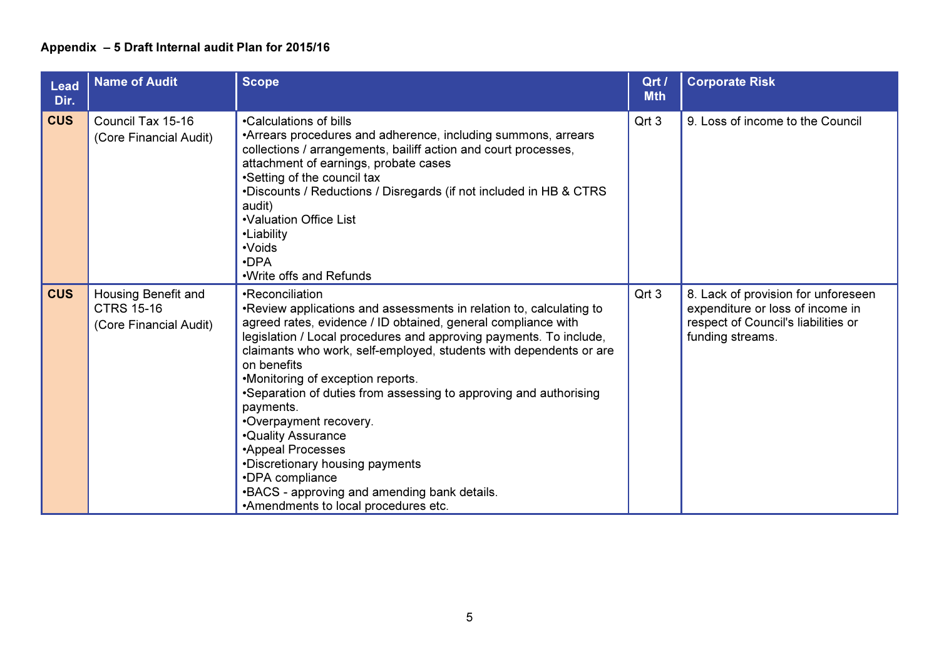| <b>Lead</b><br>Dir. | <b>Name of Audit</b>                                               | <b>Scope</b>                                                                                                                                                                                                                                                                                                                                                                                                                                                                                                                                                                                                                                                          | Qrt /<br><b>Mth</b> | <b>Corporate Risk</b>                                                                                                              |
|---------------------|--------------------------------------------------------------------|-----------------------------------------------------------------------------------------------------------------------------------------------------------------------------------------------------------------------------------------------------------------------------------------------------------------------------------------------------------------------------------------------------------------------------------------------------------------------------------------------------------------------------------------------------------------------------------------------------------------------------------------------------------------------|---------------------|------------------------------------------------------------------------------------------------------------------------------------|
| <b>CUS</b>          | Council Tax 15-16<br>(Core Financial Audit)                        | •Calculations of bills<br>•Arrears procedures and adherence, including summons, arrears<br>collections / arrangements, bailiff action and court processes,<br>attachment of earnings, probate cases<br>•Setting of the council tax<br>.Discounts / Reductions / Disregards (if not included in HB & CTRS<br>audit)<br>•Valuation Office List<br>•Liability<br>•Voids<br>$\cdot$ DPA<br>.Write offs and Refunds                                                                                                                                                                                                                                                        | Qrt 3               | 9. Loss of income to the Council                                                                                                   |
| <b>CUS</b>          | Housing Benefit and<br><b>CTRS 15-16</b><br>(Core Financial Audit) | •Reconciliation<br>. Review applications and assessments in relation to, calculating to<br>agreed rates, evidence / ID obtained, general compliance with<br>legislation / Local procedures and approving payments. To include,<br>claimants who work, self-employed, students with dependents or are<br>on benefits<br>•Monitoring of exception reports.<br>•Separation of duties from assessing to approving and authorising<br>payments.<br>•Overpayment recovery.<br><b>.</b> Quality Assurance<br>•Appeal Processes<br>•Discretionary housing payments<br>•DPA compliance<br>.BACS - approving and amending bank details.<br>•Amendments to local procedures etc. | Qrt 3               | 8. Lack of provision for unforeseen<br>expenditure or loss of income in<br>respect of Council's liabilities or<br>funding streams. |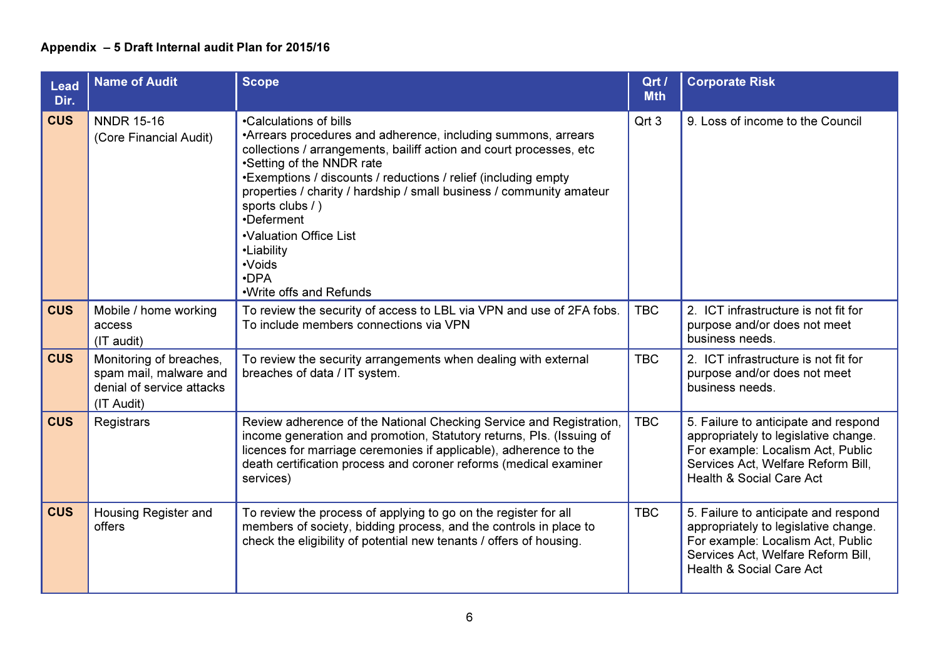| <b>Lead</b><br>Dir. | <b>Name of Audit</b>                                                                         | <b>Scope</b>                                                                                                                                                                                                                                                                                                                                                                                                                                                        | Qrt /<br><b>Mth</b> | <b>Corporate Risk</b>                                                                                                                                                                          |
|---------------------|----------------------------------------------------------------------------------------------|---------------------------------------------------------------------------------------------------------------------------------------------------------------------------------------------------------------------------------------------------------------------------------------------------------------------------------------------------------------------------------------------------------------------------------------------------------------------|---------------------|------------------------------------------------------------------------------------------------------------------------------------------------------------------------------------------------|
| <b>CUS</b>          | <b>NNDR 15-16</b><br>(Core Financial Audit)                                                  | •Calculations of bills<br>•Arrears procedures and adherence, including summons, arrears<br>collections / arrangements, bailiff action and court processes, etc<br>•Setting of the NNDR rate<br>•Exemptions / discounts / reductions / relief (including empty<br>properties / charity / hardship / small business / community amateur<br>sports clubs / )<br>•Deferment<br>•Valuation Office List<br>•Liability<br>•Voids<br>$\cdot$ DPA<br>.Write offs and Refunds | Qrt 3               | 9. Loss of income to the Council                                                                                                                                                               |
| <b>CUS</b>          | Mobile / home working<br>access<br>(IT audit)                                                | To review the security of access to LBL via VPN and use of 2FA fobs.<br>To include members connections via VPN                                                                                                                                                                                                                                                                                                                                                      | <b>TBC</b>          | 2. ICT infrastructure is not fit for<br>purpose and/or does not meet<br>business needs.                                                                                                        |
| <b>CUS</b>          | Monitoring of breaches,<br>spam mail, malware and<br>denial of service attacks<br>(IT Audit) | To review the security arrangements when dealing with external<br>breaches of data / IT system.                                                                                                                                                                                                                                                                                                                                                                     | <b>TBC</b>          | 2. ICT infrastructure is not fit for<br>purpose and/or does not meet<br>business needs.                                                                                                        |
| <b>CUS</b>          | Registrars                                                                                   | Review adherence of the National Checking Service and Registration,<br>income generation and promotion, Statutory returns, PIs. (Issuing of<br>licences for marriage ceremonies if applicable), adherence to the<br>death certification process and coroner reforms (medical examiner<br>services)                                                                                                                                                                  | <b>TBC</b>          | 5. Failure to anticipate and respond<br>appropriately to legislative change.<br>For example: Localism Act, Public<br>Services Act, Welfare Reform Bill,<br><b>Health &amp; Social Care Act</b> |
| <b>CUS</b>          | Housing Register and<br>offers                                                               | To review the process of applying to go on the register for all<br>members of society, bidding process, and the controls in place to<br>check the eligibility of potential new tenants / offers of housing.                                                                                                                                                                                                                                                         | <b>TBC</b>          | 5. Failure to anticipate and respond<br>appropriately to legislative change.<br>For example: Localism Act, Public<br>Services Act, Welfare Reform Bill,<br><b>Health &amp; Social Care Act</b> |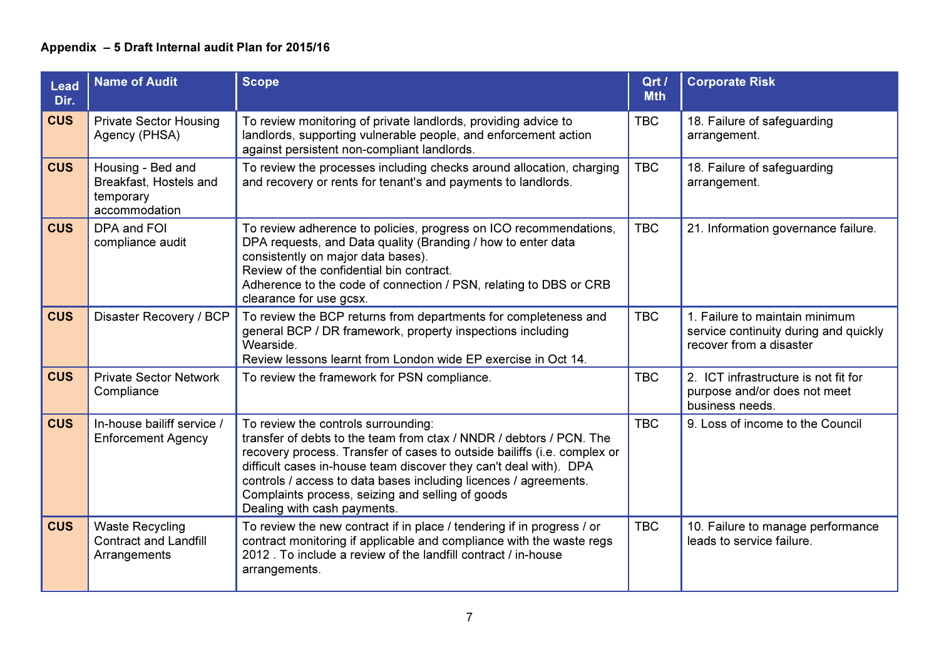| <b>Lead</b><br>Dir. | <b>Name of Audit</b>                                                      | <b>Scope</b>                                                                                                                                                                                                                                                                                                                                                                                                       | Qrt /<br><b>Mth</b> | <b>Corporate Risk</b>                                                                              |
|---------------------|---------------------------------------------------------------------------|--------------------------------------------------------------------------------------------------------------------------------------------------------------------------------------------------------------------------------------------------------------------------------------------------------------------------------------------------------------------------------------------------------------------|---------------------|----------------------------------------------------------------------------------------------------|
| <b>CUS</b>          | <b>Private Sector Housing</b><br>Agency (PHSA)                            | To review monitoring of private landlords, providing advice to<br>landlords, supporting vulnerable people, and enforcement action<br>against persistent non-compliant landlords.                                                                                                                                                                                                                                   | <b>TBC</b>          | 18. Failure of safeguarding<br>arrangement.                                                        |
| <b>CUS</b>          | Housing - Bed and<br>Breakfast, Hostels and<br>temporary<br>accommodation | To review the processes including checks around allocation, charging<br>and recovery or rents for tenant's and payments to landlords.                                                                                                                                                                                                                                                                              | <b>TBC</b>          | 18. Failure of safeguarding<br>arrangement.                                                        |
| <b>CUS</b>          | DPA and FOI<br>compliance audit                                           | To review adherence to policies, progress on ICO recommendations,<br>DPA requests, and Data quality (Branding / how to enter data<br>consistently on major data bases).<br>Review of the confidential bin contract.<br>Adherence to the code of connection / PSN, relating to DBS or CRB<br>clearance for use gcsx.                                                                                                | <b>TBC</b>          | 21. Information governance failure.                                                                |
| <b>CUS</b>          | Disaster Recovery / BCP                                                   | To review the BCP returns from departments for completeness and<br>general BCP / DR framework, property inspections including<br>Wearside.<br>Review lessons learnt from London wide EP exercise in Oct 14.                                                                                                                                                                                                        | <b>TBC</b>          | 1. Failure to maintain minimum<br>service continuity during and quickly<br>recover from a disaster |
| <b>CUS</b>          | <b>Private Sector Network</b><br>Compliance                               | To review the framework for PSN compliance.                                                                                                                                                                                                                                                                                                                                                                        | <b>TBC</b>          | 2. ICT infrastructure is not fit for<br>purpose and/or does not meet<br>business needs.            |
| <b>CUS</b>          | In-house bailiff service /<br><b>Enforcement Agency</b>                   | To review the controls surrounding:<br>transfer of debts to the team from ctax / NNDR / debtors / PCN. The<br>recovery process. Transfer of cases to outside bailiffs (i.e. complex or<br>difficult cases in-house team discover they can't deal with). DPA<br>controls / access to data bases including licences / agreements.<br>Complaints process, seizing and selling of goods<br>Dealing with cash payments. | <b>TBC</b>          | 9. Loss of income to the Council                                                                   |
| <b>CUS</b>          | <b>Waste Recycling</b><br><b>Contract and Landfill</b><br>Arrangements    | To review the new contract if in place / tendering if in progress / or<br>contract monitoring if applicable and compliance with the waste regs<br>2012. To include a review of the landfill contract / in-house<br>arrangements.                                                                                                                                                                                   | <b>TBC</b>          | 10. Failure to manage performance<br>leads to service failure.                                     |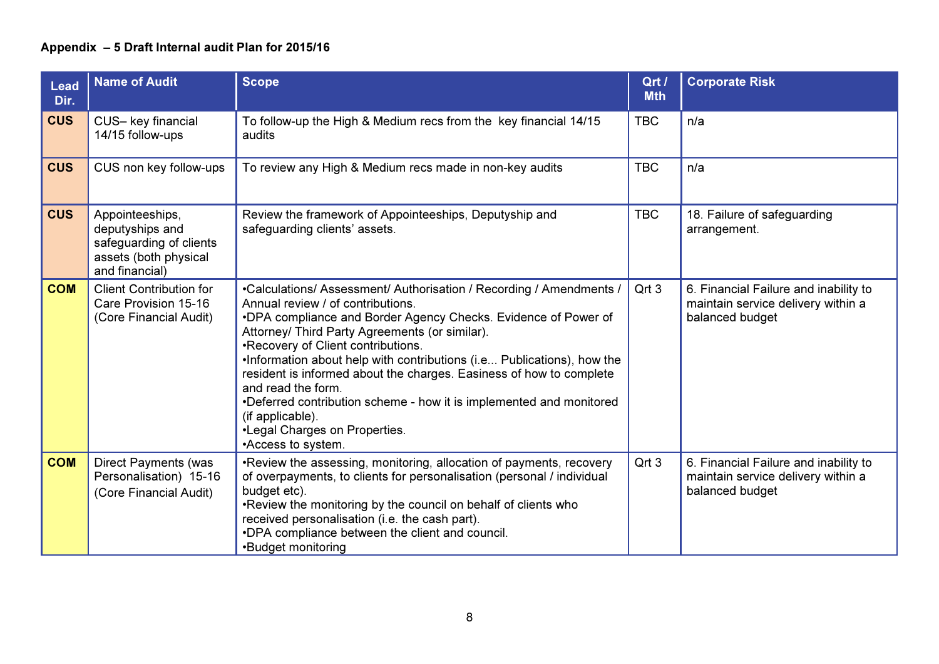| <b>Lead</b><br>Dir. | <b>Name of Audit</b>                                                                                     | <b>Scope</b>                                                                                                                                                                                                                                                                                                                                                                                                                                                                                                                                                                                | Qrt /<br><b>Mth</b> | <b>Corporate Risk</b>                                                                          |
|---------------------|----------------------------------------------------------------------------------------------------------|---------------------------------------------------------------------------------------------------------------------------------------------------------------------------------------------------------------------------------------------------------------------------------------------------------------------------------------------------------------------------------------------------------------------------------------------------------------------------------------------------------------------------------------------------------------------------------------------|---------------------|------------------------------------------------------------------------------------------------|
| <b>CUS</b>          | CUS- key financial<br>14/15 follow-ups                                                                   | To follow-up the High & Medium recs from the key financial 14/15<br>audits                                                                                                                                                                                                                                                                                                                                                                                                                                                                                                                  | <b>TBC</b>          | n/a                                                                                            |
| <b>CUS</b>          | CUS non key follow-ups                                                                                   | To review any High & Medium recs made in non-key audits                                                                                                                                                                                                                                                                                                                                                                                                                                                                                                                                     | <b>TBC</b>          | n/a                                                                                            |
| <b>CUS</b>          | Appointeeships,<br>deputyships and<br>safeguarding of clients<br>assets (both physical<br>and financial) | Review the framework of Appointeeships, Deputyship and<br>safeguarding clients' assets.                                                                                                                                                                                                                                                                                                                                                                                                                                                                                                     | <b>TBC</b>          | 18. Failure of safeguarding<br>arrangement.                                                    |
| <b>COM</b>          | <b>Client Contribution for</b><br>Care Provision 15-16<br>(Core Financial Audit)                         | •Calculations/ Assessment/ Authorisation / Recording / Amendments /<br>Annual review / of contributions.<br>•DPA compliance and Border Agency Checks. Evidence of Power of<br>Attorney/ Third Party Agreements (or similar).<br>•Recovery of Client contributions.<br>.Information about help with contributions (i.e Publications), how the<br>resident is informed about the charges. Easiness of how to complete<br>and read the form.<br>•Deferred contribution scheme - how it is implemented and monitored<br>(if applicable).<br>•Legal Charges on Properties.<br>•Access to system. | Qrt 3               | 6. Financial Failure and inability to<br>maintain service delivery within a<br>balanced budget |
| <b>COM</b>          | <b>Direct Payments (was</b><br>Personalisation) 15-16<br>(Core Financial Audit)                          | . Review the assessing, monitoring, allocation of payments, recovery<br>of overpayments, to clients for personalisation (personal / individual<br>budget etc).<br>. Review the monitoring by the council on behalf of clients who<br>received personalisation (i.e. the cash part).<br>.DPA compliance between the client and council.<br>•Budget monitoring                                                                                                                                                                                                                                | Qrt 3               | 6. Financial Failure and inability to<br>maintain service delivery within a<br>balanced budget |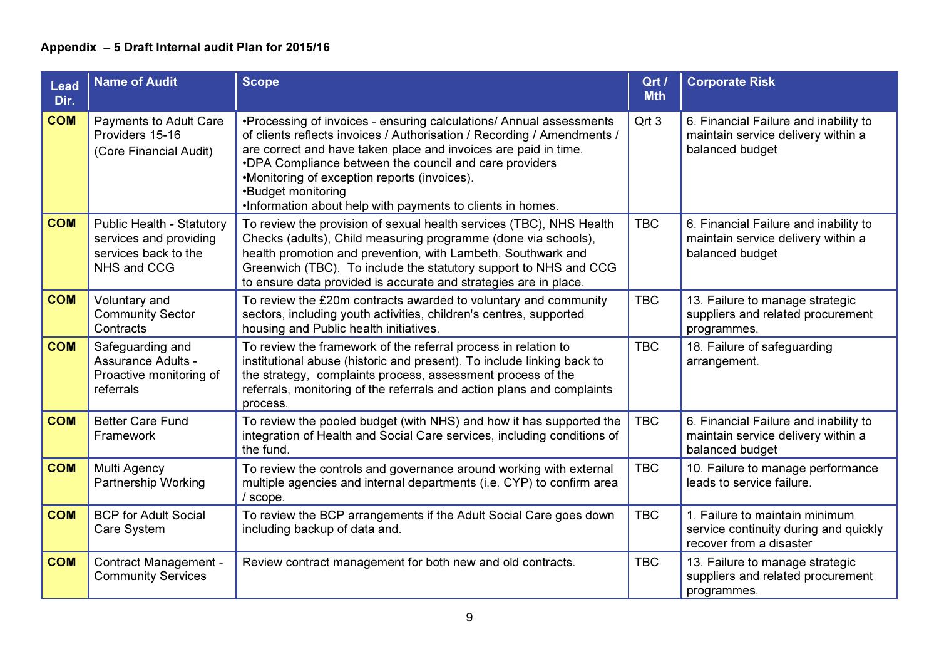| <b>Lead</b><br>Dir. | <b>Name of Audit</b>                                                                              | <b>Scope</b>                                                                                                                                                                                                                                                                                                                                                                                                    | Qrt /<br><b>Mth</b> | <b>Corporate Risk</b>                                                                              |
|---------------------|---------------------------------------------------------------------------------------------------|-----------------------------------------------------------------------------------------------------------------------------------------------------------------------------------------------------------------------------------------------------------------------------------------------------------------------------------------------------------------------------------------------------------------|---------------------|----------------------------------------------------------------------------------------------------|
| <b>COM</b>          | <b>Payments to Adult Care</b><br>Providers 15-16<br>(Core Financial Audit)                        | •Processing of invoices - ensuring calculations/ Annual assessments<br>of clients reflects invoices / Authorisation / Recording / Amendments /<br>are correct and have taken place and invoices are paid in time.<br>•DPA Compliance between the council and care providers<br>•Monitoring of exception reports (invoices).<br>•Budget monitoring<br>.Information about help with payments to clients in homes. | Qrt 3               | 6. Financial Failure and inability to<br>maintain service delivery within a<br>balanced budget     |
| <b>COM</b>          | <b>Public Health - Statutory</b><br>services and providing<br>services back to the<br>NHS and CCG | To review the provision of sexual health services (TBC), NHS Health<br>Checks (adults), Child measuring programme (done via schools),<br>health promotion and prevention, with Lambeth, Southwark and<br>Greenwich (TBC). To include the statutory support to NHS and CCG<br>to ensure data provided is accurate and strategies are in place.                                                                   | <b>TBC</b>          | 6. Financial Failure and inability to<br>maintain service delivery within a<br>balanced budget     |
| <b>COM</b>          | Voluntary and<br><b>Community Sector</b><br>Contracts                                             | To review the £20m contracts awarded to voluntary and community<br>sectors, including youth activities, children's centres, supported<br>housing and Public health initiatives.                                                                                                                                                                                                                                 | <b>TBC</b>          | 13. Failure to manage strategic<br>suppliers and related procurement<br>programmes.                |
| <b>COM</b>          | Safeguarding and<br>Assurance Adults -<br>Proactive monitoring of<br>referrals                    | To review the framework of the referral process in relation to<br>institutional abuse (historic and present). To include linking back to<br>the strategy, complaints process, assessment process of the<br>referrals, monitoring of the referrals and action plans and complaints<br>process.                                                                                                                   | <b>TBC</b>          | 18. Failure of safeguarding<br>arrangement.                                                        |
| <b>COM</b>          | <b>Better Care Fund</b><br>Framework                                                              | To review the pooled budget (with NHS) and how it has supported the<br>integration of Health and Social Care services, including conditions of<br>the fund.                                                                                                                                                                                                                                                     | <b>TBC</b>          | 6. Financial Failure and inability to<br>maintain service delivery within a<br>balanced budget     |
| <b>COM</b>          | Multi Agency<br><b>Partnership Working</b>                                                        | To review the controls and governance around working with external<br>multiple agencies and internal departments (i.e. CYP) to confirm area<br>/ scope.                                                                                                                                                                                                                                                         | <b>TBC</b>          | 10. Failure to manage performance<br>leads to service failure.                                     |
| <b>COM</b>          | <b>BCP for Adult Social</b><br>Care System                                                        | To review the BCP arrangements if the Adult Social Care goes down<br>including backup of data and.                                                                                                                                                                                                                                                                                                              | <b>TBC</b>          | 1. Failure to maintain minimum<br>service continuity during and quickly<br>recover from a disaster |
| <b>COM</b>          | <b>Contract Management -</b><br><b>Community Services</b>                                         | Review contract management for both new and old contracts.                                                                                                                                                                                                                                                                                                                                                      | <b>TBC</b>          | 13. Failure to manage strategic<br>suppliers and related procurement<br>programmes.                |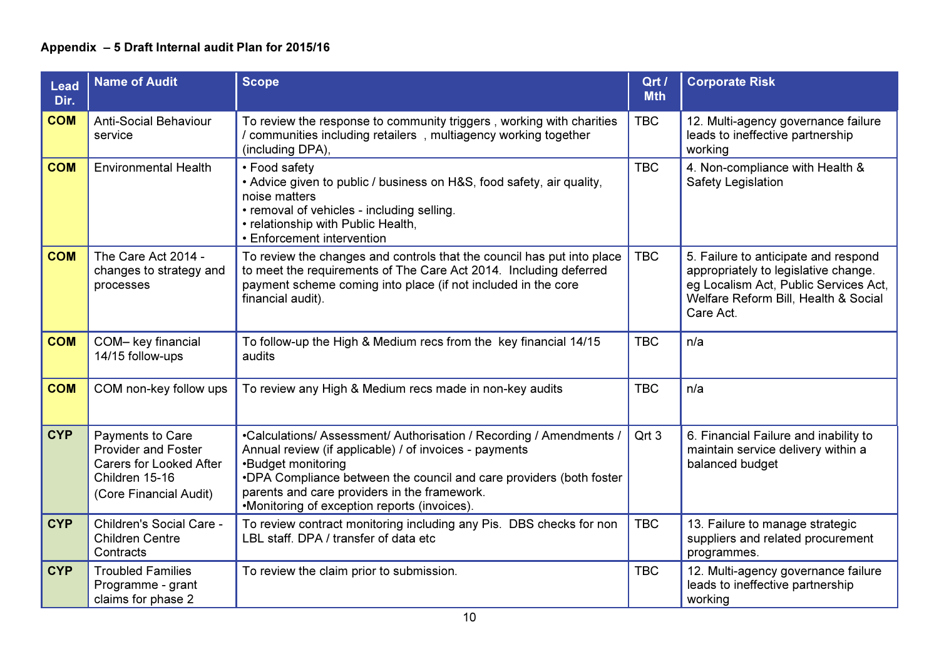| <b>Lead</b><br>Dir. | <b>Name of Audit</b>                                                                                                         | <b>Scope</b>                                                                                                                                                                                                                                                                                                               | Qrt /<br><b>Mth</b> | <b>Corporate Risk</b>                                                                                                                                                      |
|---------------------|------------------------------------------------------------------------------------------------------------------------------|----------------------------------------------------------------------------------------------------------------------------------------------------------------------------------------------------------------------------------------------------------------------------------------------------------------------------|---------------------|----------------------------------------------------------------------------------------------------------------------------------------------------------------------------|
| <b>COM</b>          | <b>Anti-Social Behaviour</b><br>service                                                                                      | To review the response to community triggers, working with charities<br>/ communities including retailers, multiagency working together<br>(including DPA),                                                                                                                                                                | <b>TBC</b>          | 12. Multi-agency governance failure<br>leads to ineffective partnership<br>working                                                                                         |
| <b>COM</b>          | <b>Environmental Health</b>                                                                                                  | • Food safety<br>• Advice given to public / business on H&S, food safety, air quality,<br>noise matters<br>• removal of vehicles - including selling.<br>• relationship with Public Health,<br>• Enforcement intervention                                                                                                  | <b>TBC</b>          | 4. Non-compliance with Health &<br>Safety Legislation                                                                                                                      |
| <b>COM</b>          | The Care Act 2014 -<br>changes to strategy and<br>processes                                                                  | To review the changes and controls that the council has put into place<br>to meet the requirements of The Care Act 2014. Including deferred<br>payment scheme coming into place (if not included in the core<br>financial audit).                                                                                          | <b>TBC</b>          | 5. Failure to anticipate and respond<br>appropriately to legislative change.<br>eg Localism Act, Public Services Act,<br>Welfare Reform Bill, Health & Social<br>Care Act. |
| <b>COM</b>          | COM- key financial<br>14/15 follow-ups                                                                                       | To follow-up the High & Medium recs from the key financial 14/15<br>audits                                                                                                                                                                                                                                                 | <b>TBC</b>          | n/a                                                                                                                                                                        |
| <b>COM</b>          | COM non-key follow ups                                                                                                       | To review any High & Medium recs made in non-key audits                                                                                                                                                                                                                                                                    | <b>TBC</b>          | n/a                                                                                                                                                                        |
| <b>CYP</b>          | Payments to Care<br><b>Provider and Foster</b><br><b>Carers for Looked After</b><br>Children 15-16<br>(Core Financial Audit) | •Calculations/ Assessment/ Authorisation / Recording / Amendments /<br>Annual review (if applicable) / of invoices - payments<br>•Budget monitoring<br>.DPA Compliance between the council and care providers (both foster<br>parents and care providers in the framework.<br>•Monitoring of exception reports (invoices). | Qrt 3               | 6. Financial Failure and inability to<br>maintain service delivery within a<br>balanced budget                                                                             |
| <b>CYP</b>          | Children's Social Care -<br><b>Children Centre</b><br>Contracts                                                              | To review contract monitoring including any Pis. DBS checks for non<br>LBL staff. DPA / transfer of data etc                                                                                                                                                                                                               | <b>TBC</b>          | 13. Failure to manage strategic<br>suppliers and related procurement<br>programmes.                                                                                        |
| <b>CYP</b>          | <b>Troubled Families</b><br>Programme - grant<br>claims for phase 2                                                          | To review the claim prior to submission.                                                                                                                                                                                                                                                                                   | <b>TBC</b>          | 12. Multi-agency governance failure<br>leads to ineffective partnership<br>working                                                                                         |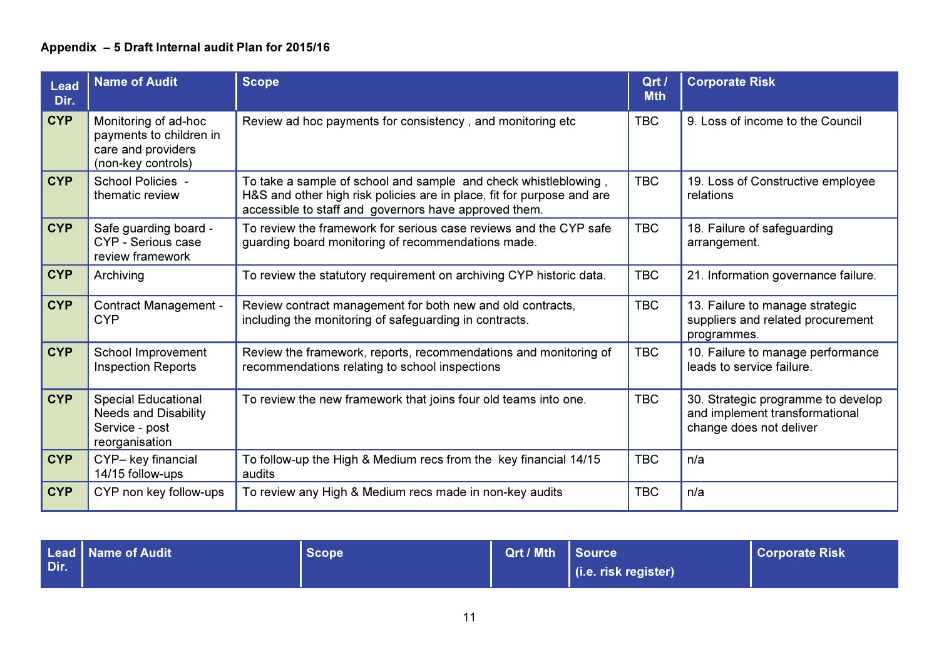| <b>Lead</b><br>Dir. | <b>Name of Audit</b>                                                                          | <b>Scope</b>                                                                                                                                                                                       | Qrt /<br><b>Mth</b> | <b>Corporate Risk</b>                                                                           |
|---------------------|-----------------------------------------------------------------------------------------------|----------------------------------------------------------------------------------------------------------------------------------------------------------------------------------------------------|---------------------|-------------------------------------------------------------------------------------------------|
| <b>CYP</b>          | Monitoring of ad-hoc<br>payments to children in<br>care and providers<br>(non-key controls)   | Review ad hoc payments for consistency, and monitoring etc                                                                                                                                         | <b>TBC</b>          | 9. Loss of income to the Council                                                                |
| <b>CYP</b>          | School Policies -<br>thematic review                                                          | To take a sample of school and sample and check whistleblowing,<br>H&S and other high risk policies are in place, fit for purpose and are<br>accessible to staff and governors have approved them. | <b>TBC</b>          | 19. Loss of Constructive employee<br>relations                                                  |
| <b>CYP</b>          | Safe guarding board -<br>CYP - Serious case<br>review framework                               | To review the framework for serious case reviews and the CYP safe<br>guarding board monitoring of recommendations made.                                                                            | <b>TBC</b>          | 18. Failure of safeguarding<br>arrangement.                                                     |
| <b>CYP</b>          | Archiving                                                                                     | To review the statutory requirement on archiving CYP historic data.                                                                                                                                | <b>TBC</b>          | 21. Information governance failure.                                                             |
| <b>CYP</b>          | <b>Contract Management -</b><br><b>CYP</b>                                                    | Review contract management for both new and old contracts,<br>including the monitoring of safeguarding in contracts.                                                                               | <b>TBC</b>          | 13. Failure to manage strategic<br>suppliers and related procurement<br>programmes.             |
| <b>CYP</b>          | School Improvement<br><b>Inspection Reports</b>                                               | Review the framework, reports, recommendations and monitoring of<br>recommendations relating to school inspections                                                                                 | <b>TBC</b>          | 10. Failure to manage performance<br>leads to service failure.                                  |
| <b>CYP</b>          | <b>Special Educational</b><br><b>Needs and Disability</b><br>Service - post<br>reorganisation | To review the new framework that joins four old teams into one.                                                                                                                                    | <b>TBC</b>          | 30. Strategic programme to develop<br>and implement transformational<br>change does not deliver |
| <b>CYP</b>          | CYP- key financial<br>14/15 follow-ups                                                        | To follow-up the High & Medium recs from the key financial 14/15<br>audits                                                                                                                         | <b>TBC</b>          | n/a                                                                                             |
| <b>CYP</b>          | CYP non key follow-ups                                                                        | To review any High & Medium recs made in non-key audits                                                                                                                                            | <b>TBC</b>          | n/a                                                                                             |

| Dir. | Lead   Name of Audit \ | Scope | Qrt / Mth Source |                              | <b>Corporate Risk</b> |
|------|------------------------|-------|------------------|------------------------------|-----------------------|
|      |                        |       |                  | $\vert$ (i.e. risk register) |                       |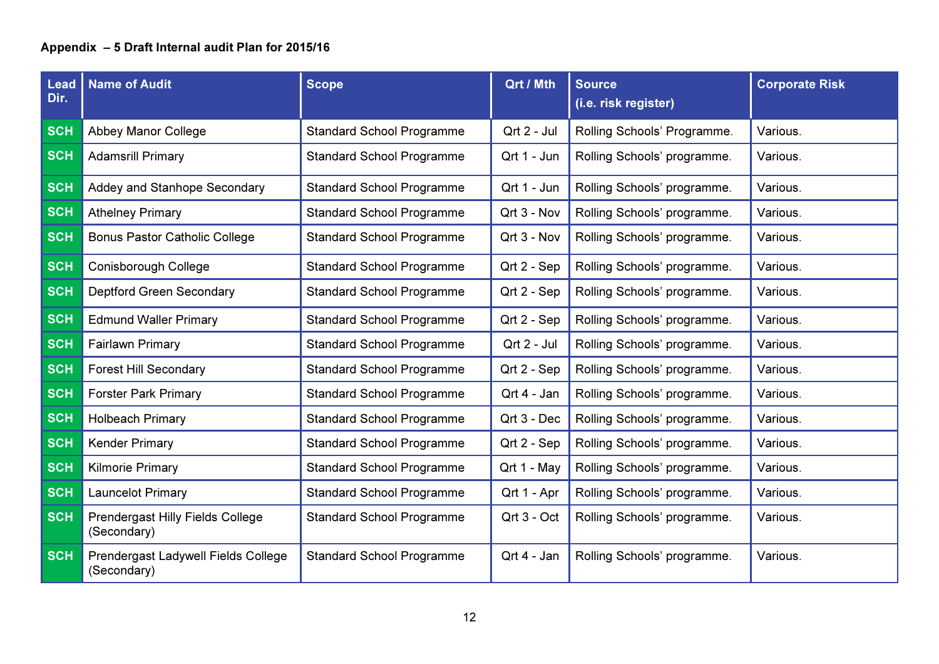| <b>Lead</b><br>Dir. | <b>Name of Audit</b>                                   | <b>Scope</b>                     | Qrt / Mth   | <b>Source</b><br>(i.e. risk register) | <b>Corporate Risk</b> |
|---------------------|--------------------------------------------------------|----------------------------------|-------------|---------------------------------------|-----------------------|
| <b>SCH</b>          | <b>Abbey Manor College</b>                             | <b>Standard School Programme</b> | Qrt 2 - Jul | Rolling Schools' Programme.           | Various.              |
| <b>SCH</b>          | <b>Adamsrill Primary</b>                               | <b>Standard School Programme</b> | Qrt 1 - Jun | Rolling Schools' programme.           | Various.              |
| <b>SCH</b>          | Addey and Stanhope Secondary                           | <b>Standard School Programme</b> | Qrt 1 - Jun | Rolling Schools' programme.           | Various.              |
| <b>SCH</b>          | <b>Athelney Primary</b>                                | <b>Standard School Programme</b> | Qrt 3 - Nov | Rolling Schools' programme.           | Various.              |
| <b>SCH</b>          | <b>Bonus Pastor Catholic College</b>                   | <b>Standard School Programme</b> | Qrt 3 - Nov | Rolling Schools' programme.           | Various.              |
| <b>SCH</b>          | Conisborough College                                   | <b>Standard School Programme</b> | Qrt 2 - Sep | Rolling Schools' programme.           | Various.              |
| <b>SCH</b>          | <b>Deptford Green Secondary</b>                        | <b>Standard School Programme</b> | Qrt 2 - Sep | Rolling Schools' programme.           | Various.              |
| <b>SCH</b>          | <b>Edmund Waller Primary</b>                           | <b>Standard School Programme</b> | Qrt 2 - Sep | Rolling Schools' programme.           | Various.              |
| <b>SCH</b>          | <b>Fairlawn Primary</b>                                | <b>Standard School Programme</b> | Qrt 2 - Jul | Rolling Schools' programme.           | Various.              |
| <b>SCH</b>          | <b>Forest Hill Secondary</b>                           | <b>Standard School Programme</b> | Qrt 2 - Sep | Rolling Schools' programme.           | Various.              |
| <b>SCH</b>          | <b>Forster Park Primary</b>                            | <b>Standard School Programme</b> | Qrt 4 - Jan | Rolling Schools' programme.           | Various.              |
| <b>SCH</b>          | <b>Holbeach Primary</b>                                | <b>Standard School Programme</b> | Qrt 3 - Dec | Rolling Schools' programme.           | Various.              |
| <b>SCH</b>          | <b>Kender Primary</b>                                  | <b>Standard School Programme</b> | Qrt 2 - Sep | Rolling Schools' programme.           | Various.              |
| <b>SCH</b>          | <b>Kilmorie Primary</b>                                | <b>Standard School Programme</b> | Qrt 1 - May | Rolling Schools' programme.           | Various.              |
| <b>SCH</b>          | Launcelot Primary                                      | <b>Standard School Programme</b> | Qrt 1 - Apr | Rolling Schools' programme.           | Various.              |
| <b>SCH</b>          | <b>Prendergast Hilly Fields College</b><br>(Secondary) | <b>Standard School Programme</b> | Qrt 3 - Oct | Rolling Schools' programme.           | Various.              |
| <b>SCH</b>          | Prendergast Ladywell Fields College<br>(Secondary)     | <b>Standard School Programme</b> | Qrt 4 - Jan | Rolling Schools' programme.           | Various.              |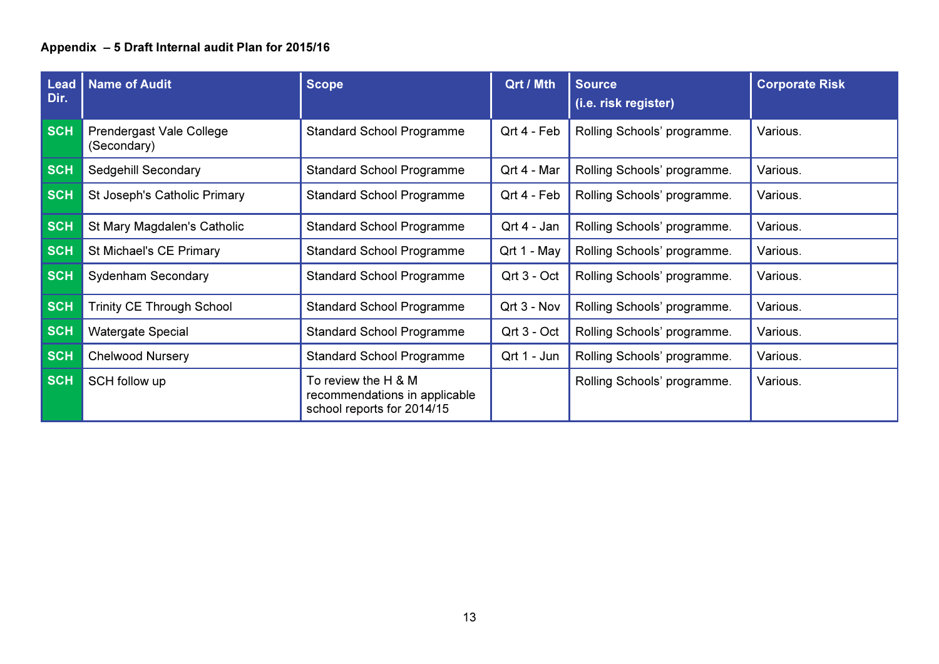| <b>Lead</b><br>Dir. | <b>Name of Audit</b>                    | <b>Scope</b>                                                                       | Qrt / Mth       | <b>Source</b><br>(i.e. risk register) | <b>Corporate Risk</b> |
|---------------------|-----------------------------------------|------------------------------------------------------------------------------------|-----------------|---------------------------------------|-----------------------|
| <b>SCH</b>          | Prendergast Vale College<br>(Secondary) | <b>Standard School Programme</b>                                                   | Qrt 4 - Feb     | Rolling Schools' programme.           | Various.              |
| <b>SCH</b>          | Sedgehill Secondary                     | <b>Standard School Programme</b>                                                   | Qrt 4 - Mar     | Rolling Schools' programme.           | Various.              |
| <b>SCH</b>          | St Joseph's Catholic Primary            | <b>Standard School Programme</b>                                                   | Qrt 4 - Feb     | Rolling Schools' programme.           | Various.              |
| <b>SCH</b>          | St Mary Magdalen's Catholic             | <b>Standard School Programme</b>                                                   | $Qrt$ 4 - Jan   | Rolling Schools' programme.           | Various.              |
| <b>SCH</b>          | St Michael's CE Primary                 | <b>Standard School Programme</b>                                                   | Qrt 1 - May     | Rolling Schools' programme.           | Various.              |
| <b>SCH</b>          | <b>Sydenham Secondary</b>               | <b>Standard School Programme</b>                                                   | $Qrt$ 3 - $Oct$ | Rolling Schools' programme.           | Various.              |
| <b>SCH</b>          | <b>Trinity CE Through School</b>        | <b>Standard School Programme</b>                                                   | $Qrt$ 3 - Nov   | Rolling Schools' programme.           | Various.              |
| <b>SCH</b>          | <b>Watergate Special</b>                | <b>Standard School Programme</b>                                                   | Qrt 3 - Oct     | Rolling Schools' programme.           | Various.              |
| <b>SCH</b>          | <b>Chelwood Nursery</b>                 | <b>Standard School Programme</b>                                                   | Qrt 1 - Jun     | Rolling Schools' programme.           | Various.              |
| <b>SCH</b>          | SCH follow up                           | To review the H & M<br>recommendations in applicable<br>school reports for 2014/15 |                 | Rolling Schools' programme.           | Various.              |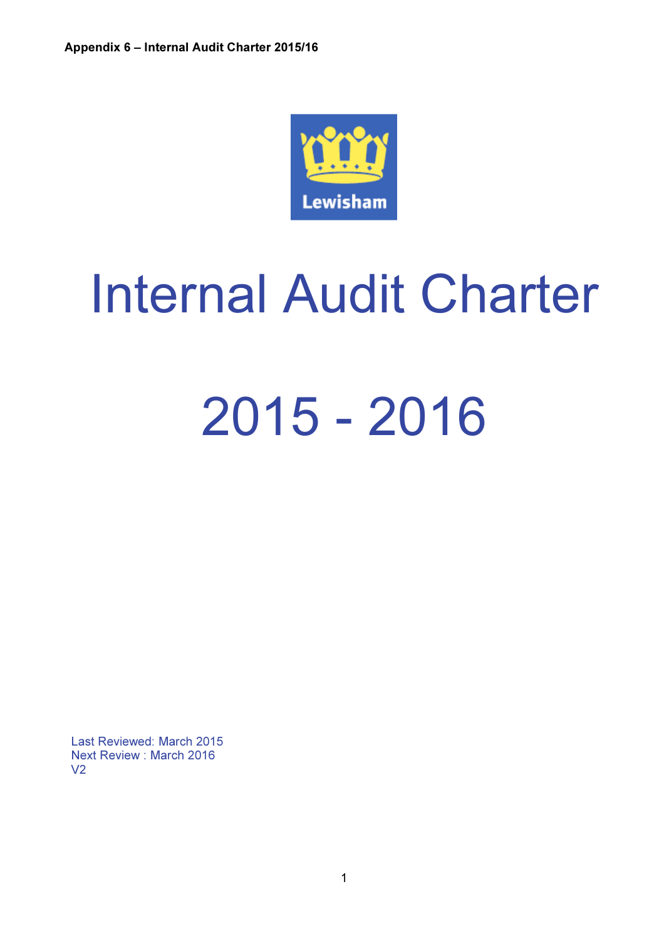

# Internal Audit Charter 2015 - 2016

Last Reviewed: March 2015 Next Review : March 2016 V2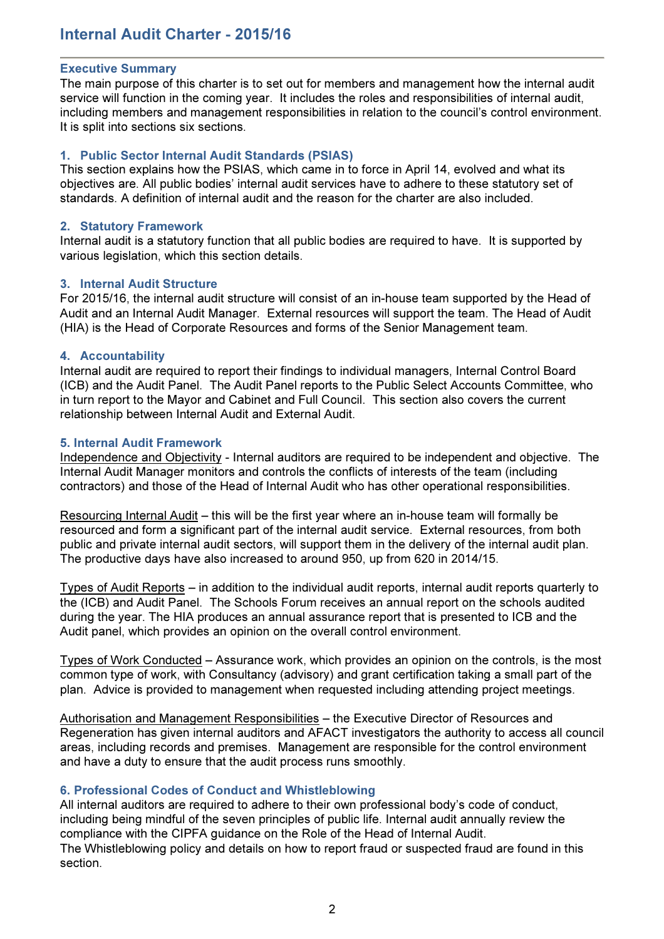# Internal Audit Charter - 2015/16

#### Executive Summary

The main purpose of this charter is to set out for members and management how the internal audit service will function in the coming year. It includes the roles and responsibilities of internal audit, including members and management responsibilities in relation to the council's control environment. It is split into sections six sections.

#### 1. Public Sector Internal Audit Standards (PSIAS)

This section explains how the PSIAS, which came in to force in April 14, evolved and what its objectives are. All public bodies' internal audit services have to adhere to these statutory set of standards. A definition of internal audit and the reason for the charter are also included.

#### 2. Statutory Framework

Internal audit is a statutory function that all public bodies are required to have. It is supported by various legislation, which this section details.

#### 3. Internal Audit Structure

For 2015/16, the internal audit structure will consist of an in-house team supported by the Head of Audit and an Internal Audit Manager. External resources will support the team. The Head of Audit (HIA) is the Head of Corporate Resources and forms of the Senior Management team.

#### 4. Accountability

Internal audit are required to report their findings to individual managers, Internal Control Board (ICB) and the Audit Panel. The Audit Panel reports to the Public Select Accounts Committee, who in turn report to the Mayor and Cabinet and Full Council. This section also covers the current relationship between Internal Audit and External Audit.

#### 5. Internal Audit Framework

Independence and Objectivity - Internal auditors are required to be independent and objective. The Internal Audit Manager monitors and controls the conflicts of interests of the team (including contractors) and those of the Head of Internal Audit who has other operational responsibilities.

Resourcing Internal Audit – this will be the first year where an in-house team will formally be resourced and form a significant part of the internal audit service. External resources, from both public and private internal audit sectors, will support them in the delivery of the internal audit plan. The productive days have also increased to around 950, up from 620 in 2014/15.

Types of Audit Reports – in addition to the individual audit reports, internal audit reports quarterly to the (ICB) and Audit Panel. The Schools Forum receives an annual report on the schools audited during the year. The HIA produces an annual assurance report that is presented to ICB and the Audit panel, which provides an opinion on the overall control environment.

Types of Work Conducted – Assurance work, which provides an opinion on the controls, is the most common type of work, with Consultancy (advisory) and grant certification taking a small part of the plan. Advice is provided to management when requested including attending project meetings.

Authorisation and Management Responsibilities – the Executive Director of Resources and Regeneration has given internal auditors and AFACT investigators the authority to access all council areas, including records and premises. Management are responsible for the control environment and have a duty to ensure that the audit process runs smoothly.

#### 6. Professional Codes of Conduct and Whistleblowing

All internal auditors are required to adhere to their own professional body's code of conduct, including being mindful of the seven principles of public life. Internal audit annually review the compliance with the CIPFA guidance on the Role of the Head of Internal Audit.

The Whistleblowing policy and details on how to report fraud or suspected fraud are found in this section.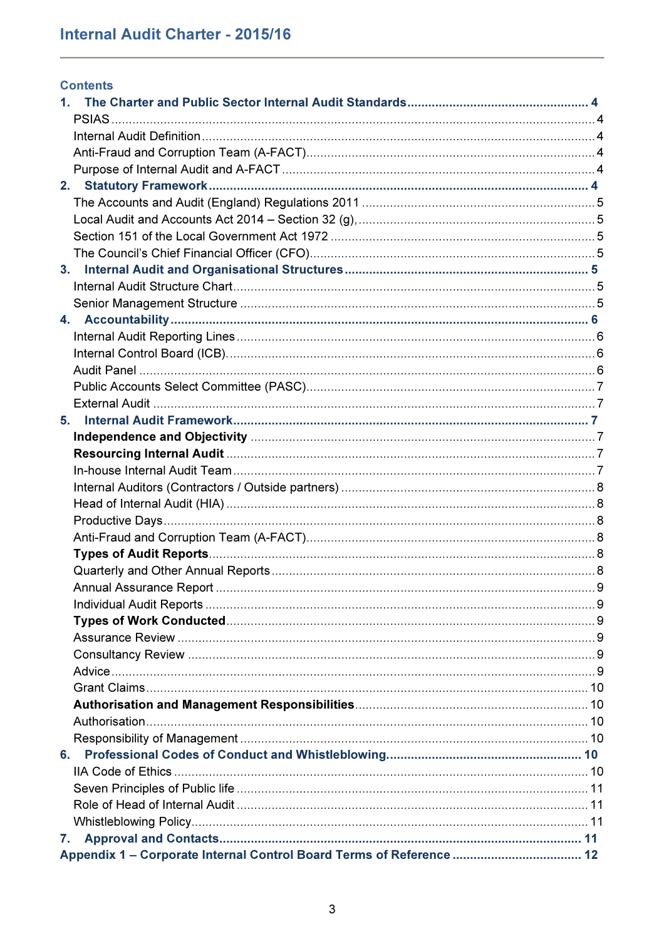| <b>Contents</b> |  |
|-----------------|--|
|                 |  |
|                 |  |
|                 |  |
|                 |  |
|                 |  |
|                 |  |
|                 |  |
|                 |  |
|                 |  |
|                 |  |
|                 |  |
|                 |  |
|                 |  |
|                 |  |
|                 |  |
|                 |  |
|                 |  |
|                 |  |
|                 |  |
| 5.              |  |
|                 |  |
|                 |  |
|                 |  |
|                 |  |
|                 |  |
|                 |  |
|                 |  |
|                 |  |
|                 |  |
|                 |  |
|                 |  |
|                 |  |
|                 |  |
|                 |  |
|                 |  |
|                 |  |
|                 |  |
|                 |  |
|                 |  |
|                 |  |
|                 |  |
|                 |  |
|                 |  |
|                 |  |
| 7.              |  |
|                 |  |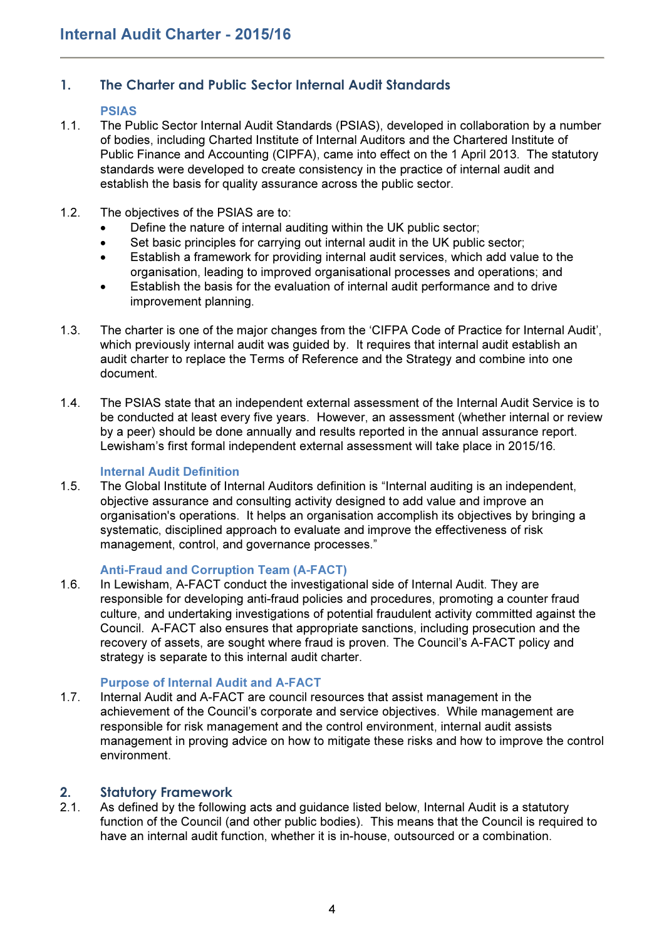# 1. The Charter and Public Sector Internal Audit Standards

### PSIAS

- 1.1. The Public Sector Internal Audit Standards (PSIAS), developed in collaboration by a number of bodies, including Charted Institute of Internal Auditors and the Chartered Institute of Public Finance and Accounting (CIPFA), came into effect on the 1 April 2013. The statutory standards were developed to create consistency in the practice of internal audit and establish the basis for quality assurance across the public sector.
- 1.2. The objectives of the PSIAS are to:
	- Define the nature of internal auditing within the UK public sector;
	- Set basic principles for carrying out internal audit in the UK public sector;
	- Establish a framework for providing internal audit services, which add value to the organisation, leading to improved organisational processes and operations; and
	- Establish the basis for the evaluation of internal audit performance and to drive improvement planning.
- 1.3. The charter is one of the major changes from the 'CIFPA Code of Practice for Internal Audit', which previously internal audit was guided by. It requires that internal audit establish an audit charter to replace the Terms of Reference and the Strategy and combine into one document.
- 1.4. The PSIAS state that an independent external assessment of the Internal Audit Service is to be conducted at least every five years. However, an assessment (whether internal or review by a peer) should be done annually and results reported in the annual assurance report. Lewisham's first formal independent external assessment will take place in 2015/16.

#### Internal Audit Definition

1.5. The Global Institute of Internal Auditors definition is "Internal auditing is an independent, objective assurance and consulting activity designed to add value and improve an organisation's operations. It helps an organisation accomplish its objectives by bringing a systematic, disciplined approach to evaluate and improve the effectiveness of risk management, control, and governance processes."

## Anti-Fraud and Corruption Team (A-FACT)

1.6. In Lewisham, A-FACT conduct the investigational side of Internal Audit. They are responsible for developing anti-fraud policies and procedures, promoting a counter fraud culture, and undertaking investigations of potential fraudulent activity committed against the Council. A-FACT also ensures that appropriate sanctions, including prosecution and the recovery of assets, are sought where fraud is proven. The Council's A-FACT policy and strategy is separate to this internal audit charter.

## Purpose of Internal Audit and A-FACT

1.7. Internal Audit and A-FACT are council resources that assist management in the achievement of the Council's corporate and service objectives. While management are responsible for risk management and the control environment, internal audit assists management in proving advice on how to mitigate these risks and how to improve the control environment.

## 2. Statutory Framework

2.1. As defined by the following acts and guidance listed below, Internal Audit is a statutory function of the Council (and other public bodies). This means that the Council is required to have an internal audit function, whether it is in-house, outsourced or a combination.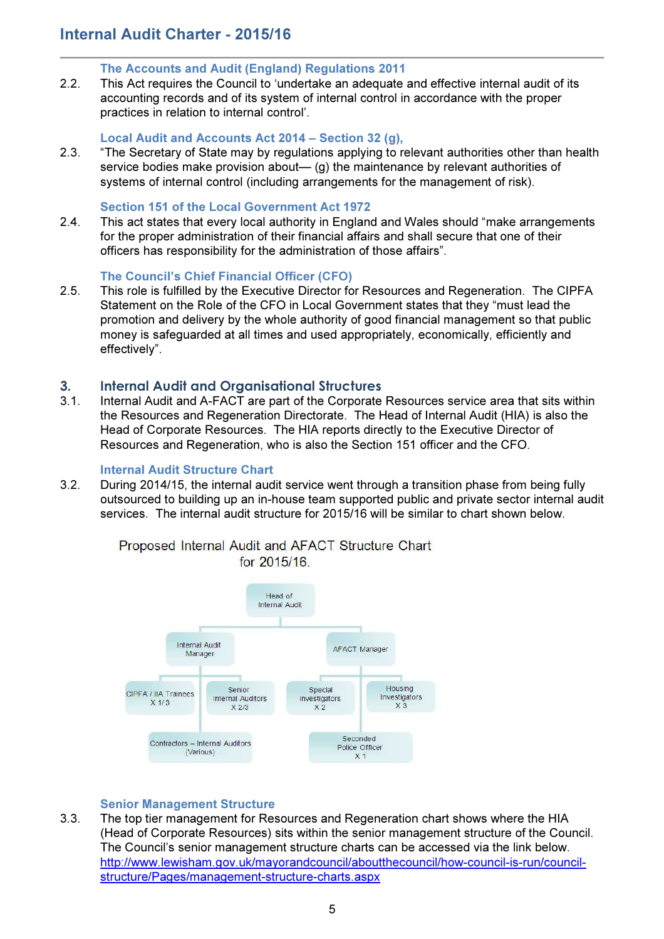# Internal Audit Charter - 2015/16

#### The Accounts and Audit (England) Regulations 2011

2.2. This Act requires the Council to 'undertake an adequate and effective internal audit of its accounting records and of its system of internal control in accordance with the proper practices in relation to internal control'.

#### Local Audit and Accounts Act 2014 – Section 32 (g),

2.3. "The Secretary of State may by regulations applying to relevant authorities other than health service bodies make provision about— (g) the maintenance by relevant authorities of systems of internal control (including arrangements for the management of risk).

#### Section 151 of the Local Government Act 1972

2.4. This act states that every local authority in England and Wales should "make arrangements for the proper administration of their financial affairs and shall secure that one of their officers has responsibility for the administration of those affairs".

#### The Council's Chief Financial Officer (CFO)

2.5. This role is fulfilled by the Executive Director for Resources and Regeneration. The CIPFA Statement on the Role of the CFO in Local Government states that they "must lead the promotion and delivery by the whole authority of good financial management so that public money is safeguarded at all times and used appropriately, economically, efficiently and effectively".

## 3. Internal Audit and Organisational Structures

3.1. Internal Audit and A-FACT are part of the Corporate Resources service area that sits within the Resources and Regeneration Directorate. The Head of Internal Audit (HIA) is also the Head of Corporate Resources. The HIA reports directly to the Executive Director of Resources and Regeneration, who is also the Section 151 officer and the CFO.

#### Internal Audit Structure Chart

3.2. During 2014/15, the internal audit service went through a transition phase from being fully outsourced to building up an in-house team supported public and private sector internal audit services. The internal audit structure for 2015/16 will be similar to chart shown below.



Proposed Internal Audit and AFACT Structure Chart for 2015/16.

#### Senior Management Structure

3.3. The top tier management for Resources and Regeneration chart shows where the HIA (Head of Corporate Resources) sits within the senior management structure of the Council. The Council's senior management structure charts can be accessed via the link below. http://www.lewisham.gov.uk/mayorandcouncil/aboutthecouncil/how-council-is-run/councilstructure/Pages/management-structure-charts.aspx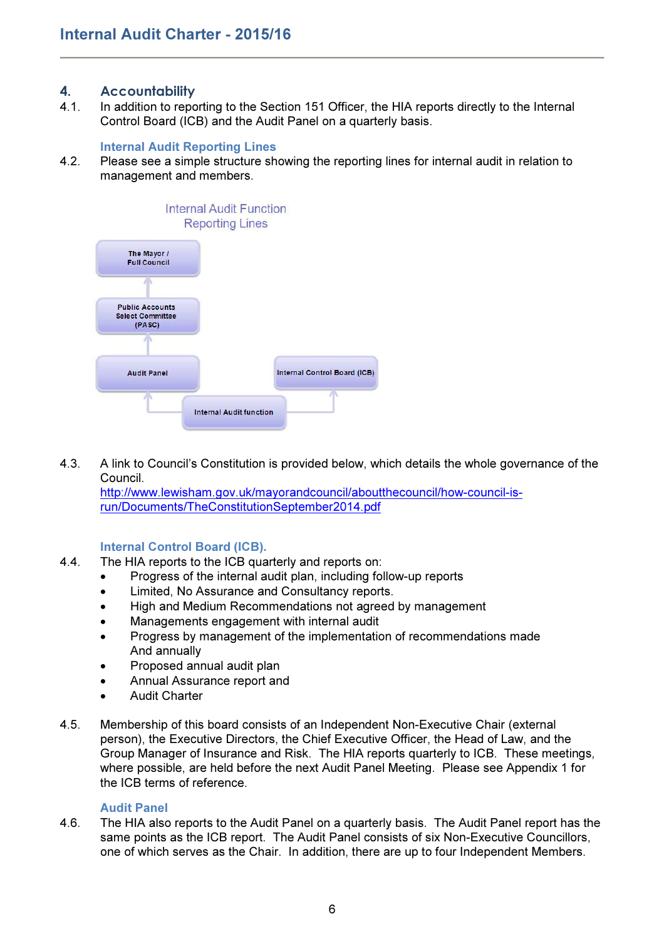## 4. Accountability

4.1. In addition to reporting to the Section 151 Officer, the HIA reports directly to the Internal Control Board (ICB) and the Audit Panel on a quarterly basis.

#### Internal Audit Reporting Lines

4.2. Please see a simple structure showing the reporting lines for internal audit in relation to management and members.



4.3. A link to Council's Constitution is provided below, which details the whole governance of the Council. http://www.lewisham.gov.uk/mayorandcouncil/aboutthecouncil/how-council-isrun/Documents/TheConstitutionSeptember2014.pdf

## Internal Control Board (ICB).

- 4.4. The HIA reports to the ICB quarterly and reports on:
	- Progress of the internal audit plan, including follow-up reports
	- Limited, No Assurance and Consultancy reports.
	- High and Medium Recommendations not agreed by management
	- Managements engagement with internal audit
	- Progress by management of the implementation of recommendations made And annually
	- Proposed annual audit plan
	- Annual Assurance report and
	- Audit Charter
- 4.5. Membership of this board consists of an Independent Non-Executive Chair (external person), the Executive Directors, the Chief Executive Officer, the Head of Law, and the Group Manager of Insurance and Risk. The HIA reports quarterly to ICB. These meetings, where possible, are held before the next Audit Panel Meeting. Please see Appendix 1 for the ICB terms of reference.

#### Audit Panel

4.6. The HIA also reports to the Audit Panel on a quarterly basis. The Audit Panel report has the same points as the ICB report. The Audit Panel consists of six Non-Executive Councillors, one of which serves as the Chair. In addition, there are up to four Independent Members.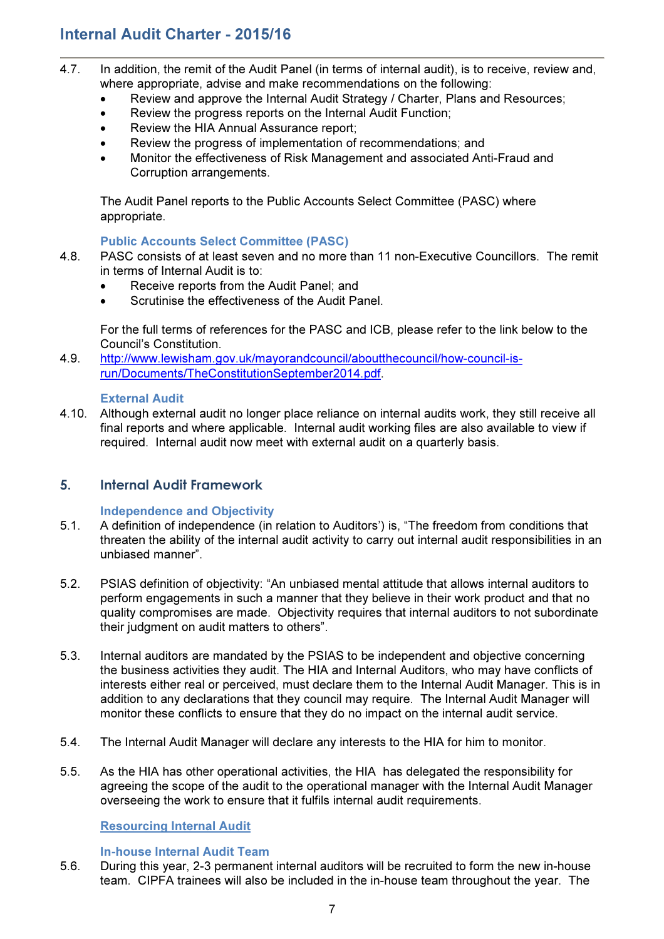# Internal Audit Charter - 2015/16

- 4.7. In addition, the remit of the Audit Panel (in terms of internal audit), is to receive, review and, where appropriate, advise and make recommendations on the following:
	- Review and approve the Internal Audit Strategy / Charter, Plans and Resources;
	- Review the progress reports on the Internal Audit Function;
	- Review the HIA Annual Assurance report;
	- Review the progress of implementation of recommendations; and
	- Monitor the effectiveness of Risk Management and associated Anti-Fraud and Corruption arrangements.

The Audit Panel reports to the Public Accounts Select Committee (PASC) where appropriate.

#### Public Accounts Select Committee (PASC)

- 4.8. PASC consists of at least seven and no more than 11 non-Executive Councillors. The remit in terms of Internal Audit is to:
	- Receive reports from the Audit Panel; and
	- Scrutinise the effectiveness of the Audit Panel.

For the full terms of references for the PASC and ICB, please refer to the link below to the Council's Constitution.

4.9. http://www.lewisham.gov.uk/mayorandcouncil/aboutthecouncil/how-council-isrun/Documents/TheConstitutionSeptember2014.pdf.

#### External Audit

4.10. Although external audit no longer place reliance on internal audits work, they still receive all final reports and where applicable. Internal audit working files are also available to view if required. Internal audit now meet with external audit on a quarterly basis.

## 5. Internal Audit Framework

#### Independence and Objectivity

- 5.1. A definition of independence (in relation to Auditors') is, "The freedom from conditions that threaten the ability of the internal audit activity to carry out internal audit responsibilities in an unbiased manner".
- 5.2. PSIAS definition of objectivity: "An unbiased mental attitude that allows internal auditors to perform engagements in such a manner that they believe in their work product and that no quality compromises are made. Objectivity requires that internal auditors to not subordinate their judgment on audit matters to others".
- 5.3. Internal auditors are mandated by the PSIAS to be independent and objective concerning the business activities they audit. The HIA and Internal Auditors, who may have conflicts of interests either real or perceived, must declare them to the Internal Audit Manager. This is in addition to any declarations that they council may require. The Internal Audit Manager will monitor these conflicts to ensure that they do no impact on the internal audit service.
- 5.4. The Internal Audit Manager will declare any interests to the HIA for him to monitor.
- 5.5. As the HIA has other operational activities, the HIA has delegated the responsibility for agreeing the scope of the audit to the operational manager with the Internal Audit Manager overseeing the work to ensure that it fulfils internal audit requirements.

#### Resourcing Internal Audit

#### In-house Internal Audit Team

5.6. During this year, 2-3 permanent internal auditors will be recruited to form the new in-house team. CIPFA trainees will also be included in the in-house team throughout the year. The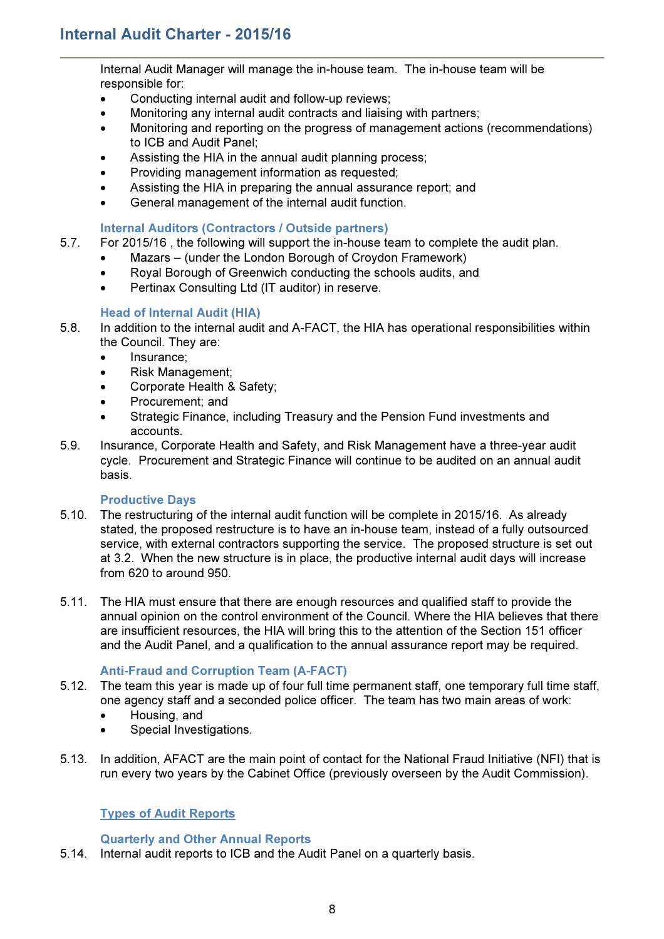Internal Audit Manager will manage the in-house team. The in-house team will be responsible for:

- Conducting internal audit and follow-up reviews;
- Monitoring any internal audit contracts and liaising with partners;
- Monitoring and reporting on the progress of management actions (recommendations) to ICB and Audit Panel;
- Assisting the HIA in the annual audit planning process;
- Providing management information as requested;
- Assisting the HIA in preparing the annual assurance report; and
- General management of the internal audit function.

### Internal Auditors (Contractors / Outside partners)

- 5.7. For 2015/16 , the following will support the in-house team to complete the audit plan.
	- Mazars (under the London Borough of Croydon Framework)
	- Royal Borough of Greenwich conducting the schools audits, and
	- Pertinax Consulting Ltd (IT auditor) in reserve.

## Head of Internal Audit (HIA)

- 5.8. In addition to the internal audit and A-FACT, the HIA has operational responsibilities within the Council. They are:
	- Insurance;
	- Risk Management;
	- Corporate Health & Safety;
	- Procurement; and
	- Strategic Finance, including Treasury and the Pension Fund investments and accounts.
- 5.9. Insurance, Corporate Health and Safety, and Risk Management have a three-year audit cycle. Procurement and Strategic Finance will continue to be audited on an annual audit basis.

#### Productive Days

- 5.10. The restructuring of the internal audit function will be complete in 2015/16. As already stated, the proposed restructure is to have an in-house team, instead of a fully outsourced service, with external contractors supporting the service. The proposed structure is set out at 3.2. When the new structure is in place, the productive internal audit days will increase from 620 to around 950.
- 5.11. The HIA must ensure that there are enough resources and qualified staff to provide the annual opinion on the control environment of the Council. Where the HIA believes that there are insufficient resources, the HIA will bring this to the attention of the Section 151 officer and the Audit Panel, and a qualification to the annual assurance report may be required.

#### Anti-Fraud and Corruption Team (A-FACT)

- 5.12. The team this year is made up of four full time permanent staff, one temporary full time staff, one agency staff and a seconded police officer. The team has two main areas of work:
	- Housing, and
	- Special Investigations.
- 5.13. In addition, AFACT are the main point of contact for the National Fraud Initiative (NFI) that is run every two years by the Cabinet Office (previously overseen by the Audit Commission).

## Types of Audit Reports

#### Quarterly and Other Annual Reports

5.14. Internal audit reports to ICB and the Audit Panel on a quarterly basis.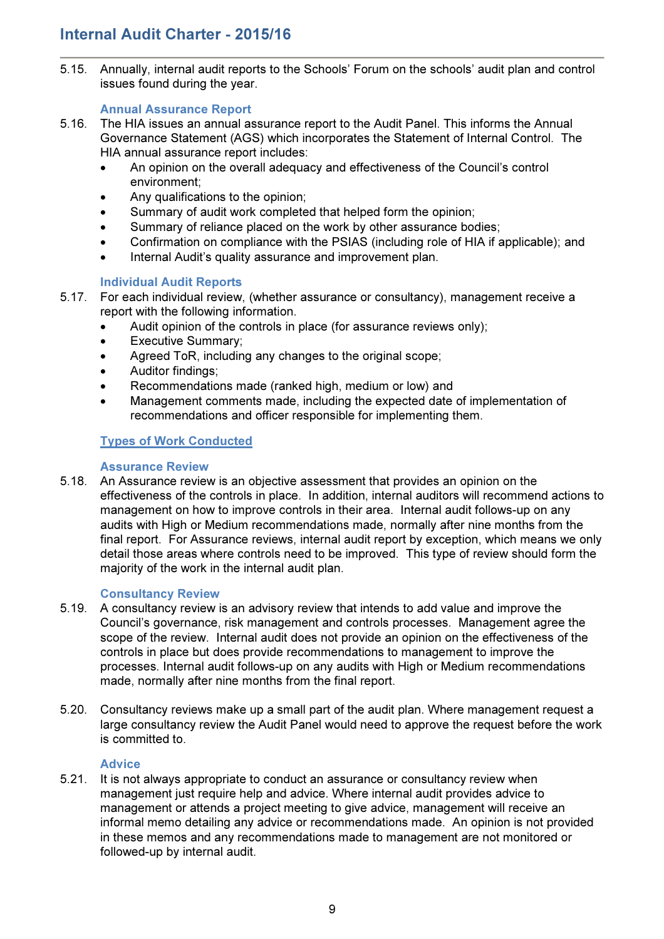5.15. Annually, internal audit reports to the Schools' Forum on the schools' audit plan and control issues found during the year.

## Annual Assurance Report

- 5.16. The HIA issues an annual assurance report to the Audit Panel. This informs the Annual Governance Statement (AGS) which incorporates the Statement of Internal Control. The HIA annual assurance report includes:
	- An opinion on the overall adequacy and effectiveness of the Council's control environment;
	- Any qualifications to the opinion;
	- Summary of audit work completed that helped form the opinion;
	- Summary of reliance placed on the work by other assurance bodies:
	- Confirmation on compliance with the PSIAS (including role of HIA if applicable); and
	- Internal Audit's quality assurance and improvement plan.

## Individual Audit Reports

- 5.17. For each individual review, (whether assurance or consultancy), management receive a report with the following information.
	- Audit opinion of the controls in place (for assurance reviews only);
	- Executive Summary;
	- Agreed ToR, including any changes to the original scope;
	- Auditor findings;
	- Recommendations made (ranked high, medium or low) and
	- Management comments made, including the expected date of implementation of recommendations and officer responsible for implementing them.

## Types of Work Conducted

#### Assurance Review

5.18. An Assurance review is an objective assessment that provides an opinion on the effectiveness of the controls in place. In addition, internal auditors will recommend actions to management on how to improve controls in their area. Internal audit follows-up on any audits with High or Medium recommendations made, normally after nine months from the final report. For Assurance reviews, internal audit report by exception, which means we only detail those areas where controls need to be improved. This type of review should form the majority of the work in the internal audit plan.

#### Consultancy Review

- 5.19. A consultancy review is an advisory review that intends to add value and improve the Council's governance, risk management and controls processes. Management agree the scope of the review. Internal audit does not provide an opinion on the effectiveness of the controls in place but does provide recommendations to management to improve the processes. Internal audit follows-up on any audits with High or Medium recommendations made, normally after nine months from the final report.
- 5.20. Consultancy reviews make up a small part of the audit plan. Where management request a large consultancy review the Audit Panel would need to approve the request before the work is committed to.

#### **Advice**

5.21. It is not always appropriate to conduct an assurance or consultancy review when management just require help and advice. Where internal audit provides advice to management or attends a project meeting to give advice, management will receive an informal memo detailing any advice or recommendations made. An opinion is not provided in these memos and any recommendations made to management are not monitored or followed-up by internal audit.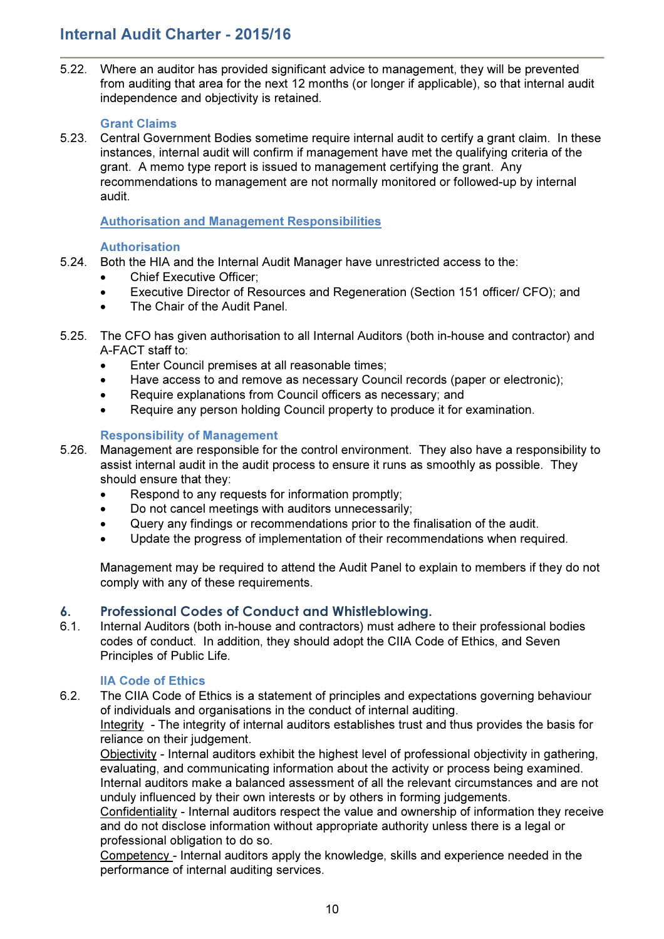# Internal Audit Charter - 2015/16

5.22. Where an auditor has provided significant advice to management, they will be prevented from auditing that area for the next 12 months (or longer if applicable), so that internal audit independence and objectivity is retained.

### Grant Claims

5.23. Central Government Bodies sometime require internal audit to certify a grant claim. In these instances, internal audit will confirm if management have met the qualifying criteria of the grant. A memo type report is issued to management certifying the grant. Any recommendations to management are not normally monitored or followed-up by internal audit.

## Authorisation and Management Responsibilities

## Authorisation

- 5.24. Both the HIA and the Internal Audit Manager have unrestricted access to the:
	- Chief Executive Officer;
	- Executive Director of Resources and Regeneration (Section 151 officer/ CFO); and
	- The Chair of the Audit Panel.
- 5.25. The CFO has given authorisation to all Internal Auditors (both in-house and contractor) and A-FACT staff to:
	- Enter Council premises at all reasonable times;
	- Have access to and remove as necessary Council records (paper or electronic);
	- Require explanations from Council officers as necessary; and
	- Require any person holding Council property to produce it for examination.

## Responsibility of Management

- 5.26. Management are responsible for the control environment. They also have a responsibility to assist internal audit in the audit process to ensure it runs as smoothly as possible. They should ensure that they:
	- Respond to any requests for information promptly;
	- Do not cancel meetings with auditors unnecessarily;
	- Query any findings or recommendations prior to the finalisation of the audit.
	- Update the progress of implementation of their recommendations when required.

Management may be required to attend the Audit Panel to explain to members if they do not comply with any of these requirements.

## 6. Professional Codes of Conduct and Whistleblowing.

6.1. Internal Auditors (both in-house and contractors) must adhere to their professional bodies codes of conduct. In addition, they should adopt the CIIA Code of Ethics, and Seven Principles of Public Life.

## IIA Code of Ethics

6.2. The CIIA Code of Ethics is a statement of principles and expectations governing behaviour of individuals and organisations in the conduct of internal auditing.

Integrity - The integrity of internal auditors establishes trust and thus provides the basis for reliance on their judgement.

Objectivity - Internal auditors exhibit the highest level of professional objectivity in gathering, evaluating, and communicating information about the activity or process being examined. Internal auditors make a balanced assessment of all the relevant circumstances and are not unduly influenced by their own interests or by others in forming judgements.

Confidentiality - Internal auditors respect the value and ownership of information they receive and do not disclose information without appropriate authority unless there is a legal or professional obligation to do so.

Competency - Internal auditors apply the knowledge, skills and experience needed in the performance of internal auditing services.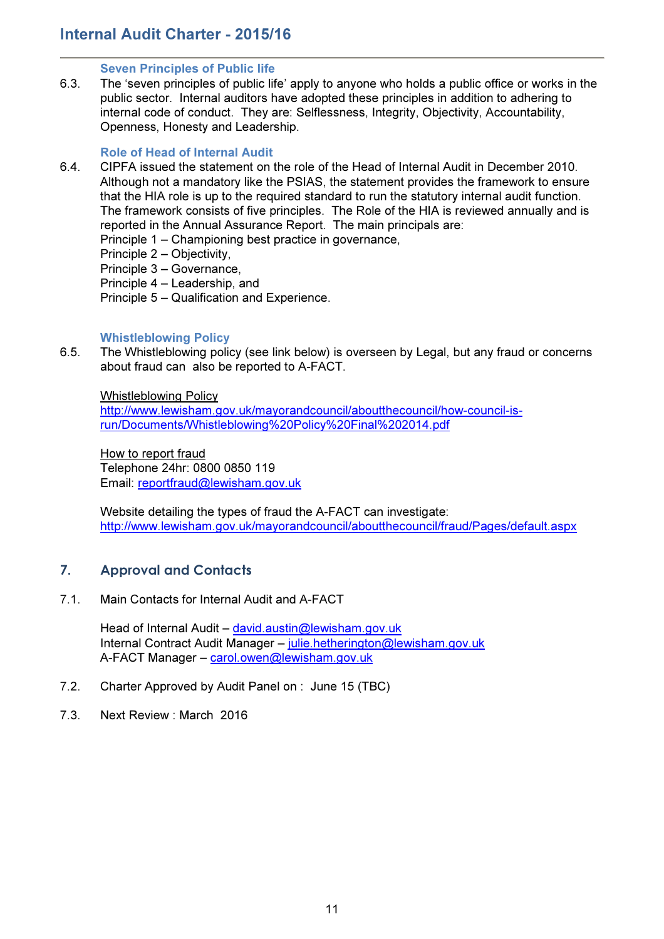#### Seven Principles of Public life

6.3. The 'seven principles of public life' apply to anyone who holds a public office or works in the public sector. Internal auditors have adopted these principles in addition to adhering to internal code of conduct. They are: Selflessness, Integrity, Objectivity, Accountability, Openness, Honesty and Leadership.

## Role of Head of Internal Audit

- 6.4. CIPFA issued the statement on the role of the Head of Internal Audit in December 2010. Although not a mandatory like the PSIAS, the statement provides the framework to ensure that the HIA role is up to the required standard to run the statutory internal audit function. The framework consists of five principles. The Role of the HIA is reviewed annually and is reported in the Annual Assurance Report. The main principals are:
	- Principle 1 Championing best practice in governance,
	- Principle 2 Objectivity,
	- Principle 3 Governance,
	- Principle 4 Leadership, and
	- Principle 5 Qualification and Experience.

#### Whistleblowing Policy

6.5. The Whistleblowing policy (see link below) is overseen by Legal, but any fraud or concerns about fraud can also be reported to A-FACT.

Whistleblowing Policy

http://www.lewisham.gov.uk/mayorandcouncil/aboutthecouncil/how-council-isrun/Documents/Whistleblowing%20Policy%20Final%202014.pdf

How to report fraud Telephone 24hr: 0800 0850 119 Email: reportfraud@lewisham.gov.uk

Website detailing the types of fraud the A-FACT can investigate: http://www.lewisham.gov.uk/mayorandcouncil/aboutthecouncil/fraud/Pages/default.aspx

# 7. Approval and Contacts

7.1. Main Contacts for Internal Audit and A-FACT

Head of Internal Audit – david.austin@lewisham.gov.uk Internal Contract Audit Manager – julie.hetherington@lewisham.gov.uk A-FACT Manager – carol.owen@lewisham.gov.uk

- 7.2. Charter Approved by Audit Panel on : June 15 (TBC)
- 7.3. Next Review : March 2016